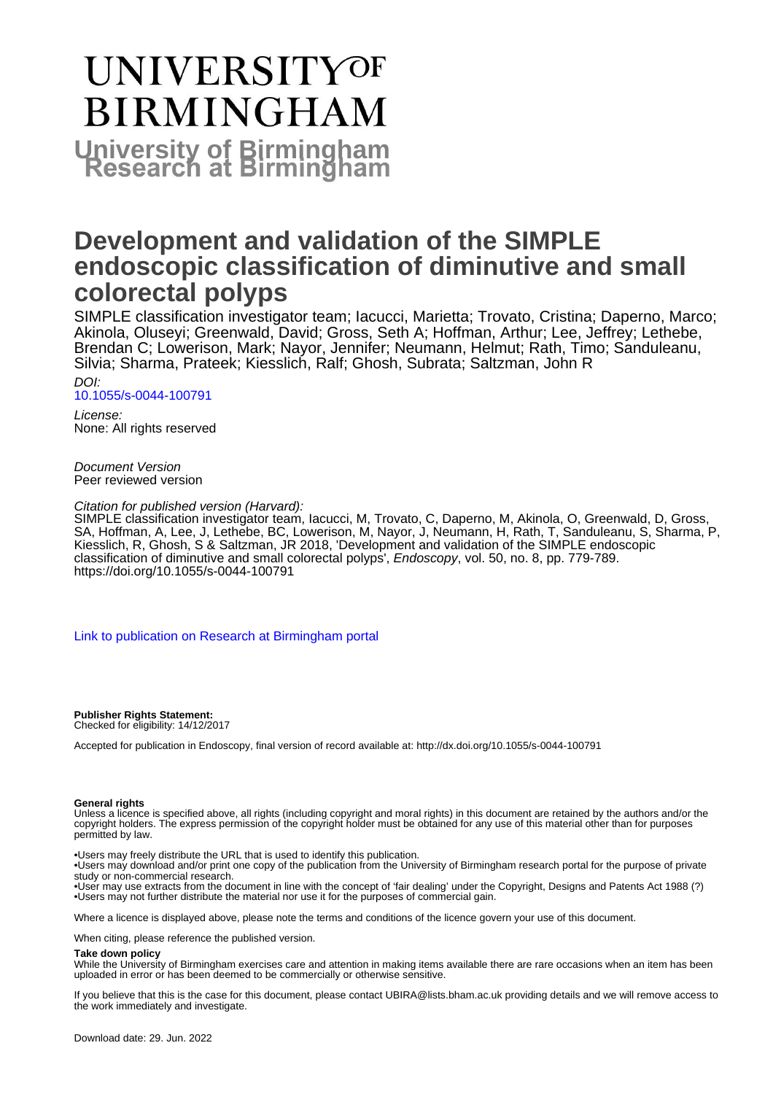# UNIVERSITYOF **BIRMINGHAM University of Birmingham**

# **Development and validation of the SIMPLE endoscopic classification of diminutive and small colorectal polyps**

SIMPLE classification investigator team; Iacucci, Marietta; Trovato, Cristina; Daperno, Marco; Akinola, Oluseyi; Greenwald, David; Gross, Seth A; Hoffman, Arthur; Lee, Jeffrey; Lethebe, Brendan C; Lowerison, Mark; Nayor, Jennifer; Neumann, Helmut; Rath, Timo; Sanduleanu, Silvia; Sharma, Prateek; Kiesslich, Ralf; Ghosh, Subrata; Saltzman, John R

DOI: [10.1055/s-0044-100791](https://doi.org/10.1055/s-0044-100791)

License: None: All rights reserved

Document Version Peer reviewed version

Citation for published version (Harvard):

SIMPLE classification investigator team, Iacucci, M, Trovato, C, Daperno, M, Akinola, O, Greenwald, D, Gross, SA, Hoffman, A, Lee, J, Lethebe, BC, Lowerison, M, Nayor, J, Neumann, H, Rath, T, Sanduleanu, S, Sharma, P, Kiesslich, R, Ghosh, S & Saltzman, JR 2018, 'Development and validation of the SIMPLE endoscopic classification of diminutive and small colorectal polyps', Endoscopy, vol. 50, no. 8, pp. 779-789. <https://doi.org/10.1055/s-0044-100791>

[Link to publication on Research at Birmingham portal](https://birmingham.elsevierpure.com/en/publications/f87e0fee-4006-4ba4-9853-f579e5958c18)

**Publisher Rights Statement:** Checked for eligibility: 14/12/2017

Accepted for publication in Endoscopy, final version of record available at: http://dx.doi.org/10.1055/s-0044-100791

#### **General rights**

Unless a licence is specified above, all rights (including copyright and moral rights) in this document are retained by the authors and/or the copyright holders. The express permission of the copyright holder must be obtained for any use of this material other than for purposes permitted by law.

• Users may freely distribute the URL that is used to identify this publication.

• Users may download and/or print one copy of the publication from the University of Birmingham research portal for the purpose of private study or non-commercial research.

• User may use extracts from the document in line with the concept of 'fair dealing' under the Copyright, Designs and Patents Act 1988 (?) • Users may not further distribute the material nor use it for the purposes of commercial gain.

Where a licence is displayed above, please note the terms and conditions of the licence govern your use of this document.

When citing, please reference the published version.

#### **Take down policy**

While the University of Birmingham exercises care and attention in making items available there are rare occasions when an item has been uploaded in error or has been deemed to be commercially or otherwise sensitive.

If you believe that this is the case for this document, please contact UBIRA@lists.bham.ac.uk providing details and we will remove access to the work immediately and investigate.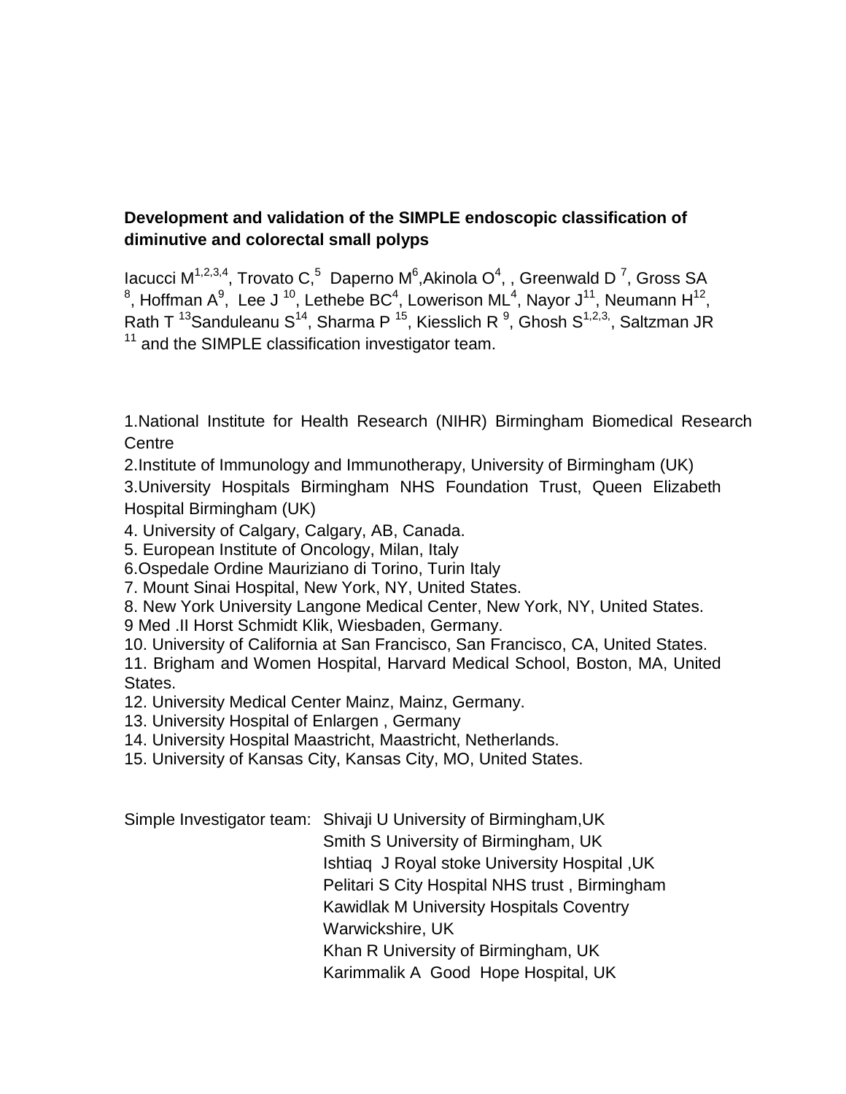### **Development and validation of the SIMPLE endoscopic classification of diminutive and colorectal small polyps**

lacucci M<sup>1,2,3,4</sup>, Trovato C,<sup>5</sup> Daperno M<sup>6</sup>,Akinola O<sup>4</sup>, , Greenwald D<sup>7</sup>, Gross SA <sup>8</sup>, Hoffman A<sup>9</sup>, Lee J<sup>10</sup>, Lethebe BC<sup>4</sup>, Lowerison ML<sup>4</sup>, Nayor J<sup>11</sup>, Neumann H<sup>12</sup>, Rath T <sup>13</sup>Sanduleanu S<sup>14</sup>, Sharma P <sup>15</sup>, Kiesslich R <sup>9</sup>, Ghosh S<sup>1,2,3,</sup>, Saltzman JR  $11$  and the SIMPLE classification investigator team.

1.National Institute for Health Research (NIHR) Birmingham Biomedical Research **Centre** 

2.Institute of Immunology and Immunotherapy, University of Birmingham (UK)

3.University Hospitals Birmingham NHS Foundation Trust, Queen Elizabeth Hospital Birmingham (UK)

4. University of Calgary, Calgary, AB, Canada.

5. European Institute of Oncology, Milan, Italy

6.Ospedale Ordine Mauriziano di Torino, Turin Italy

7. Mount Sinai Hospital, New York, NY, United States.

8. New York University Langone Medical Center, New York, NY, United States.

9 Med .II Horst Schmidt Klik, Wiesbaden, Germany.

10. University of California at San Francisco, San Francisco, CA, United States.

11. Brigham and Women Hospital, Harvard Medical School, Boston, MA, United States.

12. University Medical Center Mainz, Mainz, Germany.

13. University Hospital of Enlargen , Germany

14. University Hospital Maastricht, Maastricht, Netherlands.

15. University of Kansas City, Kansas City, MO, United States.

Simple Investigator team: Shivaji U University of Birmingham,UK Smith S University of Birmingham, UK Ishtiaq J Royal stoke University Hospital ,UK Pelitari S City Hospital NHS trust , Birmingham Kawidlak M University Hospitals Coventry Warwickshire, UK Khan R University of Birmingham, UK Karimmalik A Good Hope Hospital, UK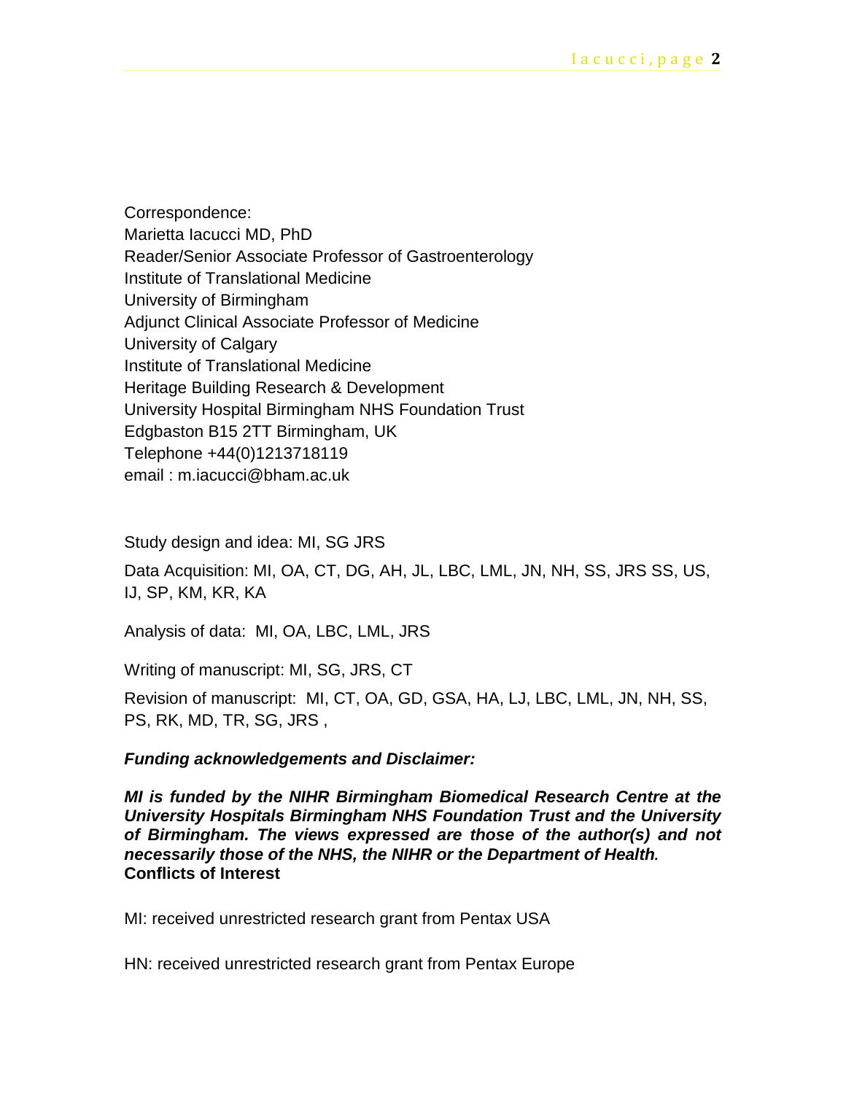Correspondence: Marietta Iacucci MD, PhD Reader/Senior Associate Professor of Gastroenterology Institute of Translational Medicine University of Birmingham Adjunct Clinical Associate Professor of Medicine University of Calgary Institute of Translational Medicine Heritage Building Research & Development University Hospital Birmingham NHS Foundation Trust Edgbaston B15 2TT Birmingham, UK Telephone +44(0)1213718119 email : m.iacucci@bham.ac.uk

Study design and idea: MI, SG JRS

Data Acquisition: MI, OA, CT, DG, AH, JL, LBC, LML, JN, NH, SS, JRS SS, US, IJ, SP, KM, KR, KA

Analysis of data: MI, OA, LBC, LML, JRS

Writing of manuscript: MI, SG, JRS, CT

Revision of manuscript: MI, CT, OA, GD, GSA, HA, LJ, LBC, LML, JN, NH, SS, PS, RK, MD, TR, SG, JRS ,

#### *Funding acknowledgements and Disclaimer:*

*MI is funded by the NIHR Birmingham Biomedical Research Centre at the University Hospitals Birmingham NHS Foundation Trust and the University of Birmingham. The views expressed are those of the author(s) and not necessarily those of the NHS, the NIHR or the Department of Health.* **Conflicts of Interest**

MI: received unrestricted research grant from Pentax USA

HN: received unrestricted research grant from Pentax Europe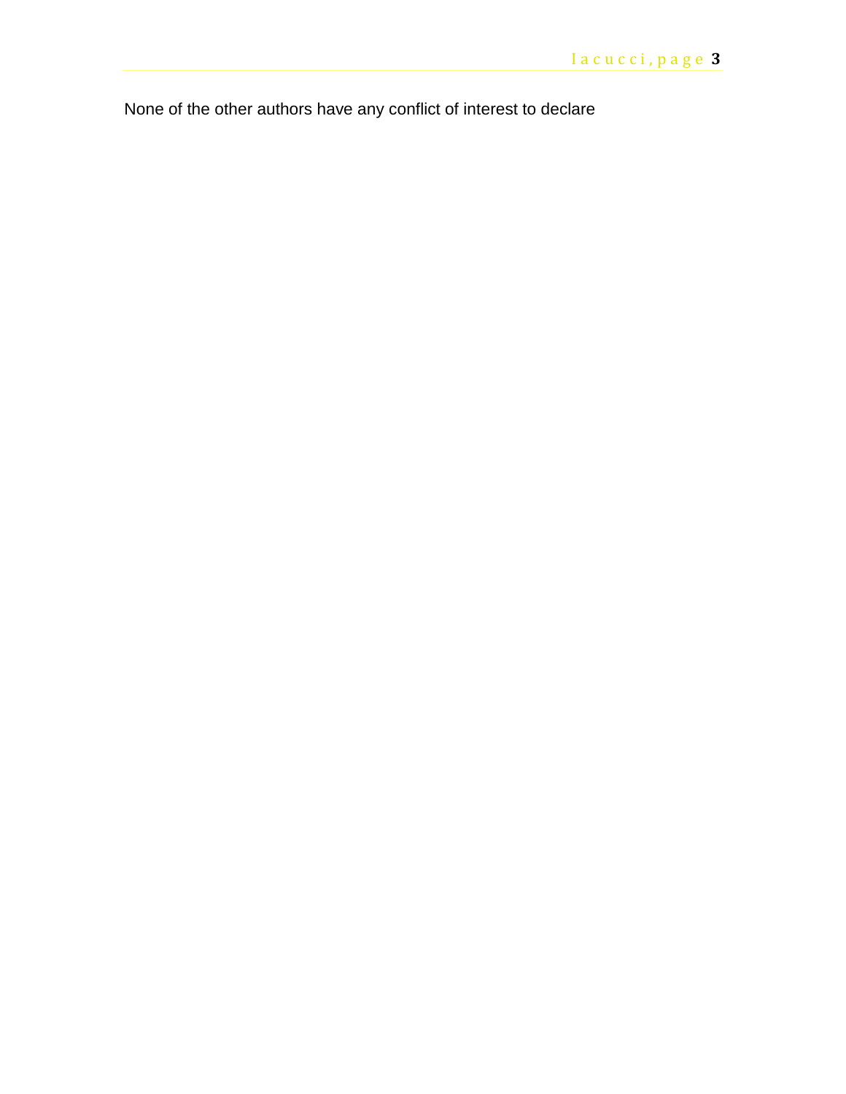None of the other authors have any conflict of interest to declare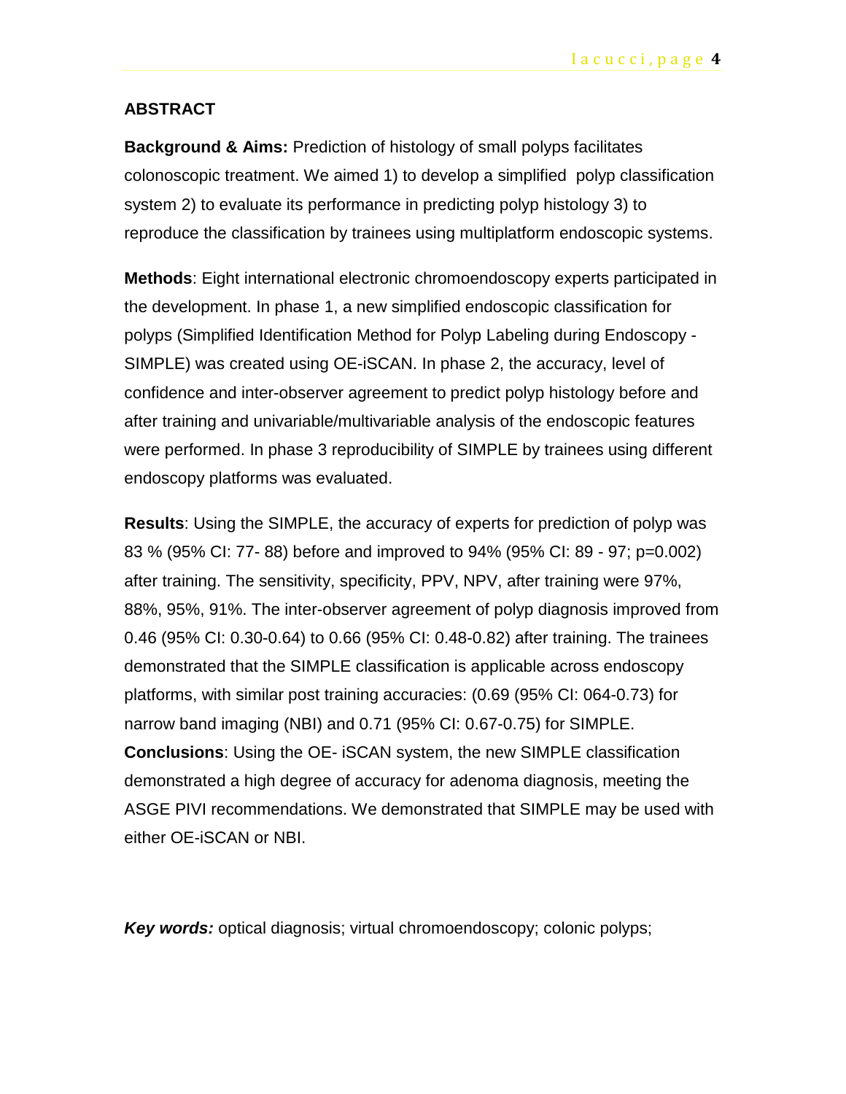#### **ABSTRACT**

**Background & Aims:** Prediction of histology of small polyps facilitates colonoscopic treatment. We aimed 1) to develop a simplified polyp classification system 2) to evaluate its performance in predicting polyp histology 3) to reproduce the classification by trainees using multiplatform endoscopic systems.

**Methods**: Eight international electronic chromoendoscopy experts participated in the development. In phase 1, a new simplified endoscopic classification for polyps (Simplified Identification Method for Polyp Labeling during Endoscopy - SIMPLE) was created using OE-iSCAN. In phase 2, the accuracy, level of confidence and inter-observer agreement to predict polyp histology before and after training and univariable/multivariable analysis of the endoscopic features were performed. In phase 3 reproducibility of SIMPLE by trainees using different endoscopy platforms was evaluated.

**Results**: Using the SIMPLE, the accuracy of experts for prediction of polyp was 83 % (95% CI: 77- 88) before and improved to 94% (95% CI: 89 - 97; p=0.002) after training. The sensitivity, specificity, PPV, NPV, after training were 97%, 88%, 95%, 91%. The inter-observer agreement of polyp diagnosis improved from 0.46 (95% CI: 0.30-0.64) to 0.66 (95% CI: 0.48-0.82) after training. The trainees demonstrated that the SIMPLE classification is applicable across endoscopy platforms, with similar post training accuracies: (0.69 (95% CI: 064-0.73) for narrow band imaging (NBI) and 0.71 (95% CI: 0.67-0.75) for SIMPLE. **Conclusions**: Using the OE- iSCAN system, the new SIMPLE classification demonstrated a high degree of accuracy for adenoma diagnosis, meeting the ASGE PIVI recommendations. We demonstrated that SIMPLE may be used with either OE-iSCAN or NBI.

**Key words:** optical diagnosis; virtual chromoendoscopy; colonic polyps;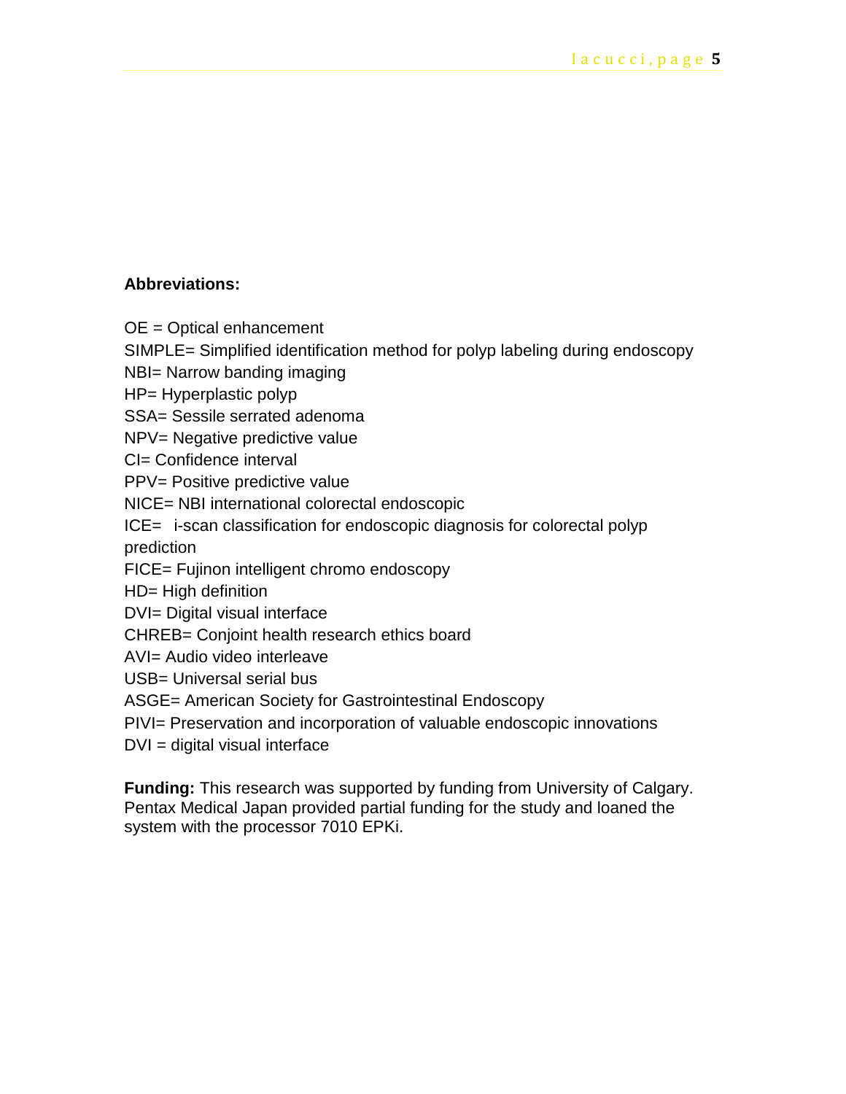#### **Abbreviations:**

OE = Optical enhancement

SIMPLE= Simplified identification method for polyp labeling during endoscopy

NBI= Narrow banding imaging

HP= Hyperplastic polyp

SSA= Sessile serrated adenoma

NPV= Negative predictive value

CI= Confidence interval

PPV= Positive predictive value

NICE= NBI international colorectal endoscopic

ICE= i-scan classification for endoscopic diagnosis for colorectal polyp prediction

FICE= Fujinon intelligent chromo endoscopy

HD= High definition

DVI= Digital visual interface

CHREB= Conjoint health research ethics board

AVI= Audio video interleave

USB= Universal serial bus

ASGE= American Society for Gastrointestinal Endoscopy

PIVI= Preservation and incorporation of valuable endoscopic innovations

DVI = digital visual interface

**Funding:** This research was supported by funding from University of Calgary. Pentax Medical Japan provided partial funding for the study and loaned the system with the processor 7010 EPKi.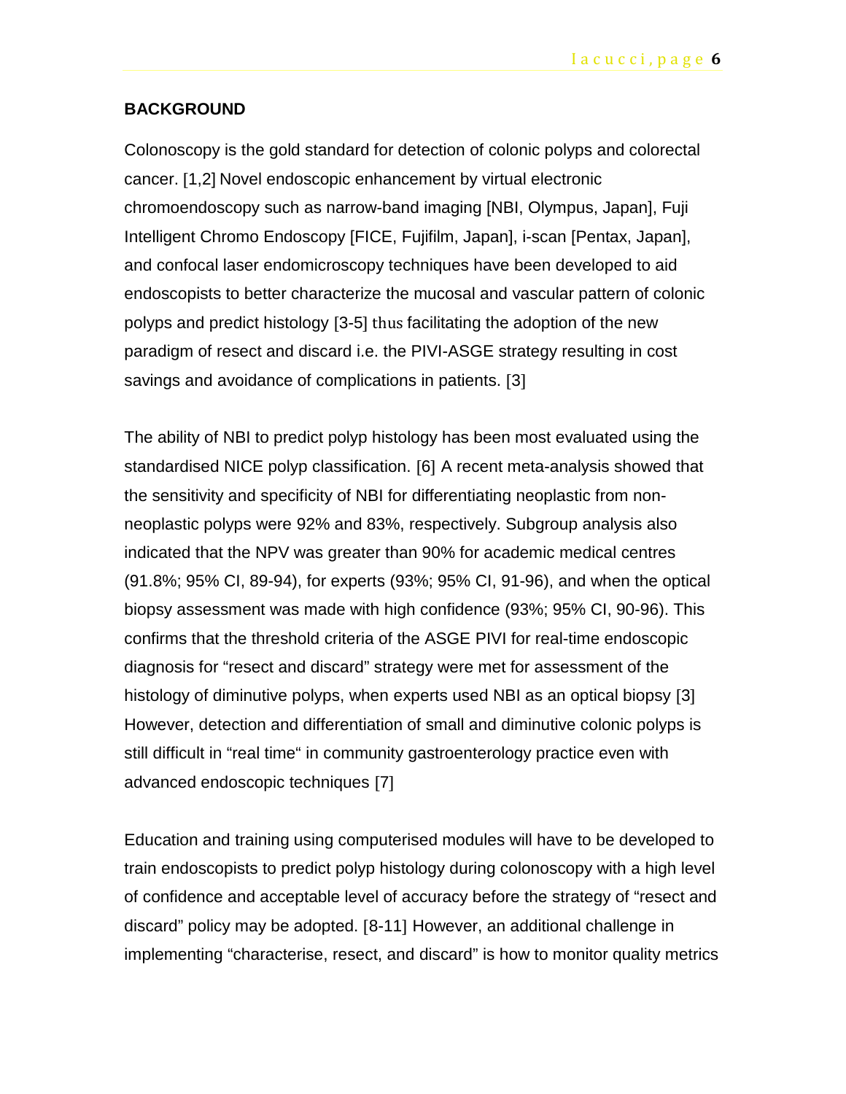#### **BACKGROUND**

Colonoscopy is the gold standard for detection of colonic polyps and colorectal cancer. [1,2] Novel endoscopic enhancement by virtual electronic chromoendoscopy such as narrow-band imaging [NBI, Olympus, Japan], Fuji Intelligent Chromo Endoscopy [FICE, Fujifilm, Japan], i-scan [Pentax, Japan], and confocal laser endomicroscopy techniques have been developed to aid endoscopists to better characterize the mucosal and vascular pattern of colonic polyps and predict histology [3-5] thus facilitating the adoption of the new paradigm of resect and discard i.e. the PIVI-ASGE strategy resulting in cost savings and avoidance of complications in patients. [3]

The ability of NBI to predict polyp histology has been most evaluated using the standardised NICE polyp classification. [6] A recent meta-analysis showed that the sensitivity and specificity of NBI for differentiating neoplastic from nonneoplastic polyps were 92% and 83%, respectively. Subgroup analysis also indicated that the NPV was greater than 90% for academic medical centres (91.8%; 95% CI, 89-94), for experts (93%; 95% CI, 91-96), and when the optical biopsy assessment was made with high confidence (93%; 95% CI, 90-96). This confirms that the threshold criteria of the ASGE PIVI for real-time endoscopic diagnosis for "resect and discard" strategy were met for assessment of the histology of diminutive polyps, when experts used NBI as an optical biopsy [3] However, detection and differentiation of small and diminutive colonic polyps is still difficult in "real time" in community gastroenterology practice even with advanced endoscopic techniques [7]

Education and training using computerised modules will have to be developed to train endoscopists to predict polyp histology during colonoscopy with a high level of confidence and acceptable level of accuracy before the strategy of "resect and discard" policy may be adopted. [8-11] However, an additional challenge in implementing "characterise, resect, and discard" is how to monitor quality metrics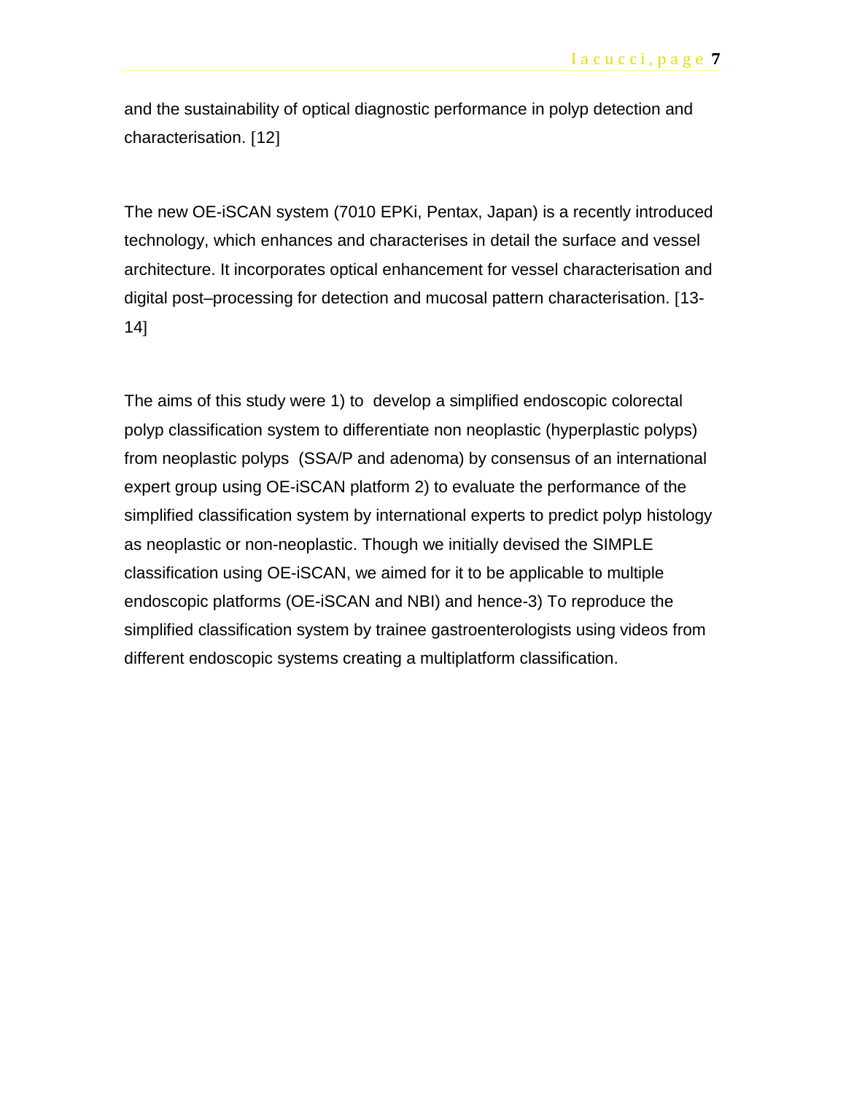and the sustainability of optical diagnostic performance in polyp detection and characterisation. [12]

The new OE-iSCAN system (7010 EPKi, Pentax, Japan) is a recently introduced technology, which enhances and characterises in detail the surface and vessel architecture. It incorporates optical enhancement for vessel characterisation and digital post–processing for detection and mucosal pattern characterisation. [13- 14]

The aims of this study were 1) to develop a simplified endoscopic colorectal polyp classification system to differentiate non neoplastic (hyperplastic polyps) from neoplastic polyps (SSA/P and adenoma) by consensus of an international expert group using OE-iSCAN platform 2) to evaluate the performance of the simplified classification system by international experts to predict polyp histology as neoplastic or non-neoplastic. Though we initially devised the SIMPLE classification using OE-iSCAN, we aimed for it to be applicable to multiple endoscopic platforms (OE-iSCAN and NBI) and hence-3) To reproduce the simplified classification system by trainee gastroenterologists using videos from different endoscopic systems creating a multiplatform classification.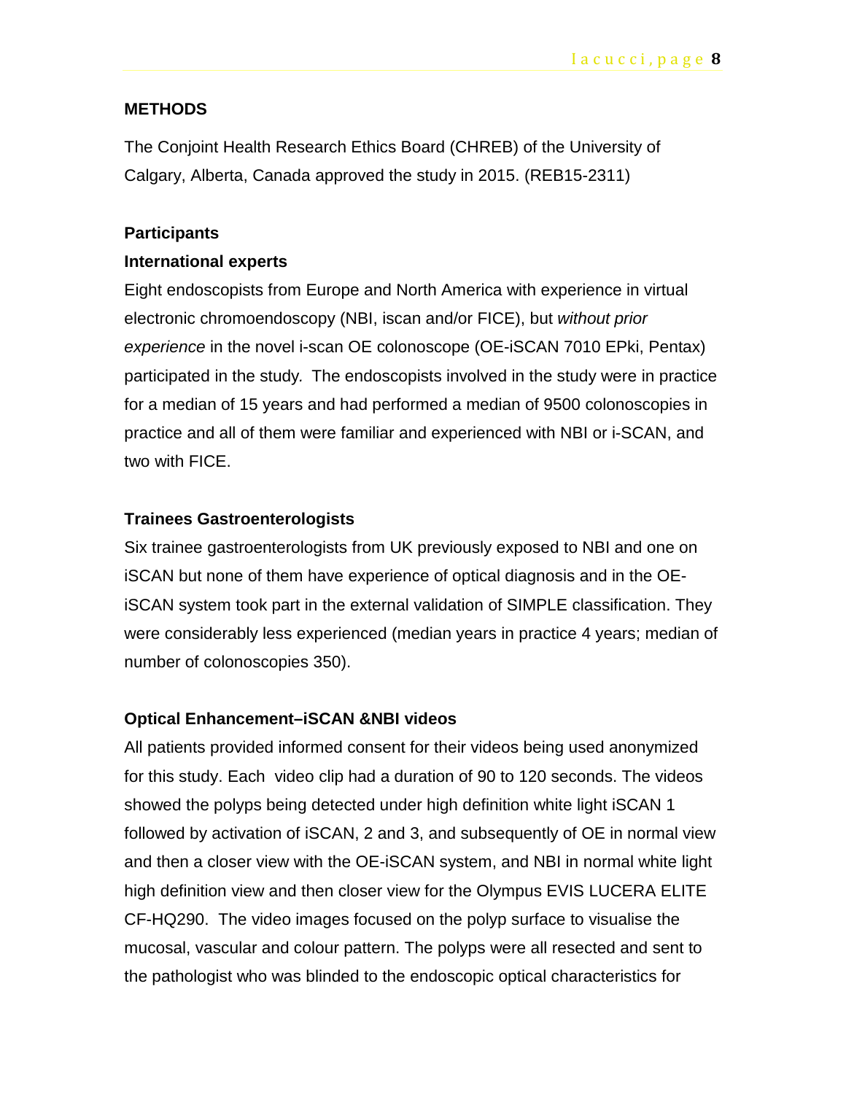#### **METHODS**

The Conjoint Health Research Ethics Board (CHREB) of the University of Calgary, Alberta, Canada approved the study in 2015. (REB15-2311)

#### **Participants**

#### **International experts**

Eight endoscopists from Europe and North America with experience in virtual electronic chromoendoscopy (NBI, iscan and/or FICE), but *without prior experience* in the novel i-scan OE colonoscope (OE-iSCAN 7010 EPki, Pentax) participated in the study*.* The endoscopists involved in the study were in practice for a median of 15 years and had performed a median of 9500 colonoscopies in practice and all of them were familiar and experienced with NBI or i-SCAN, and two with FICE.

#### **Trainees Gastroenterologists**

Six trainee gastroenterologists from UK previously exposed to NBI and one on iSCAN but none of them have experience of optical diagnosis and in the OEiSCAN system took part in the external validation of SIMPLE classification. They were considerably less experienced (median years in practice 4 years; median of number of colonoscopies 350).

#### **Optical Enhancement–iSCAN &NBI videos**

All patients provided informed consent for their videos being used anonymized for this study. Each video clip had a duration of 90 to 120 seconds. The videos showed the polyps being detected under high definition white light iSCAN 1 followed by activation of iSCAN, 2 and 3, and subsequently of OE in normal view and then a closer view with the OE-iSCAN system, and NBI in normal white light high definition view and then closer view for the Olympus EVIS LUCERA ELITE CF-HQ290. The video images focused on the polyp surface to visualise the mucosal, vascular and colour pattern. The polyps were all resected and sent to the pathologist who was blinded to the endoscopic optical characteristics for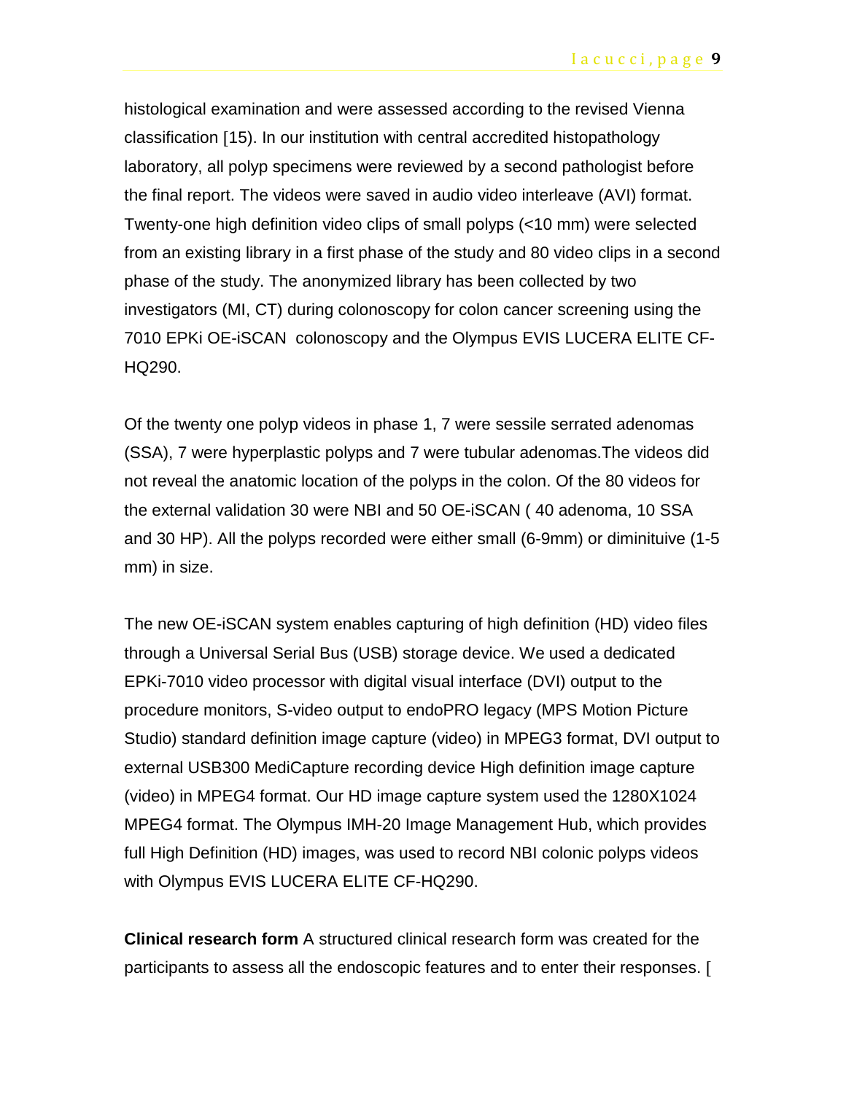histological examination and were assessed according to the revised Vienna classification [15). In our institution with central accredited histopathology laboratory, all polyp specimens were reviewed by a second pathologist before the final report. The videos were saved in audio video interleave (AVI) format. Twenty-one high definition video clips of small polyps (<10 mm) were selected from an existing library in a first phase of the study and 80 video clips in a second phase of the study. The anonymized library has been collected by two investigators (MI, CT) during colonoscopy for colon cancer screening using the 7010 EPKi OE-iSCAN colonoscopy and the Olympus EVIS LUCERA ELITE CF-HQ290.

Of the twenty one polyp videos in phase 1, 7 were sessile serrated adenomas (SSA), 7 were hyperplastic polyps and 7 were tubular adenomas.The videos did not reveal the anatomic location of the polyps in the colon. Of the 80 videos for the external validation 30 were NBI and 50 OE-iSCAN ( 40 adenoma, 10 SSA and 30 HP). All the polyps recorded were either small (6-9mm) or diminituive (1-5 mm) in size.

The new OE-iSCAN system enables capturing of high definition (HD) video files through a Universal Serial Bus (USB) storage device. We used a dedicated EPKi-7010 video processor with digital visual interface (DVI) output to the procedure monitors, S-video output to endoPRO legacy (MPS Motion Picture Studio) standard definition image capture (video) in MPEG3 format, DVI output to external USB300 MediCapture recording device High definition image capture (video) in MPEG4 format. Our HD image capture system used the 1280X1024 MPEG4 format. The Olympus IMH-20 Image Management Hub, which provides full High Definition (HD) images, was used to record NBI colonic polyps videos with Olympus EVIS LUCERA ELITE CF-HQ290.

**Clinical research form** A structured clinical research form was created for the participants to assess all the endoscopic features and to enter their responses. [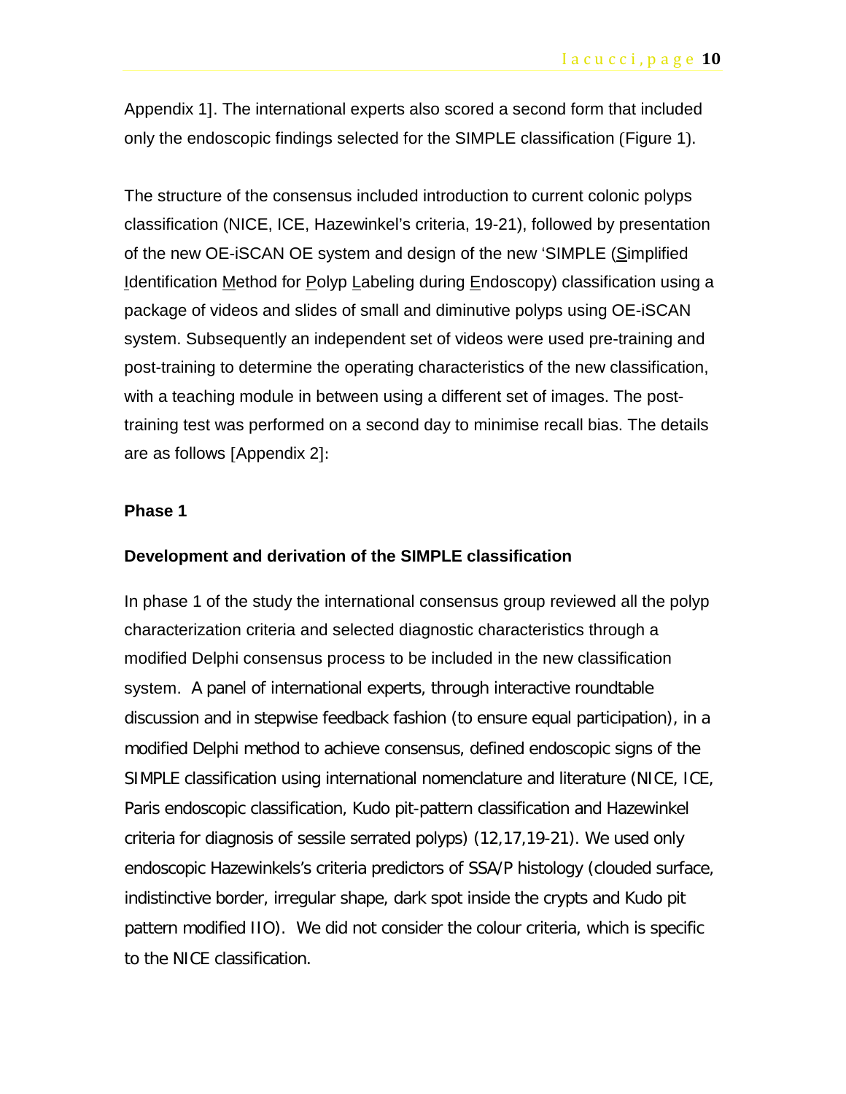Appendix 1]. The international experts also scored a second form that included only the endoscopic findings selected for the SIMPLE classification (Figure 1).

The structure of the consensus included introduction to current colonic polyps classification (NICE, ICE, Hazewinkel's criteria, 19-21), followed by presentation of the new OE-iSCAN OE system and design of the new 'SIMPLE (Simplified Identification Method for Polyp Labeling during Endoscopy) classification using a package of videos and slides of small and diminutive polyps using OE-iSCAN system. Subsequently an independent set of videos were used pre-training and post-training to determine the operating characteristics of the new classification, with a teaching module in between using a different set of images. The posttraining test was performed on a second day to minimise recall bias. The details are as follows [Appendix 2]:

#### **Phase 1**

#### **Development and derivation of the SIMPLE classification**

In phase 1 of the study the international consensus group reviewed all the polyp characterization criteria and selected diagnostic characteristics through a modified Delphi consensus process to be included in the new classification system. A panel of international experts, through interactive roundtable discussion and in stepwise feedback fashion (to ensure equal participation), in a modified Delphi method to achieve consensus, defined endoscopic signs of the SIMPLE classification using international nomenclature and literature (NICE, ICE, Paris endoscopic classification, Kudo pit-pattern classification and Hazewinkel criteria for diagnosis of sessile serrated polyps) (12,17,19-21). We used only endoscopic Hazewinkels's criteria predictors of SSA/P histology (clouded surface, indistinctive border, irregular shape, dark spot inside the crypts and Kudo pit pattern modified IIO). We did not consider the colour criteria, which is specific to the NICE classification.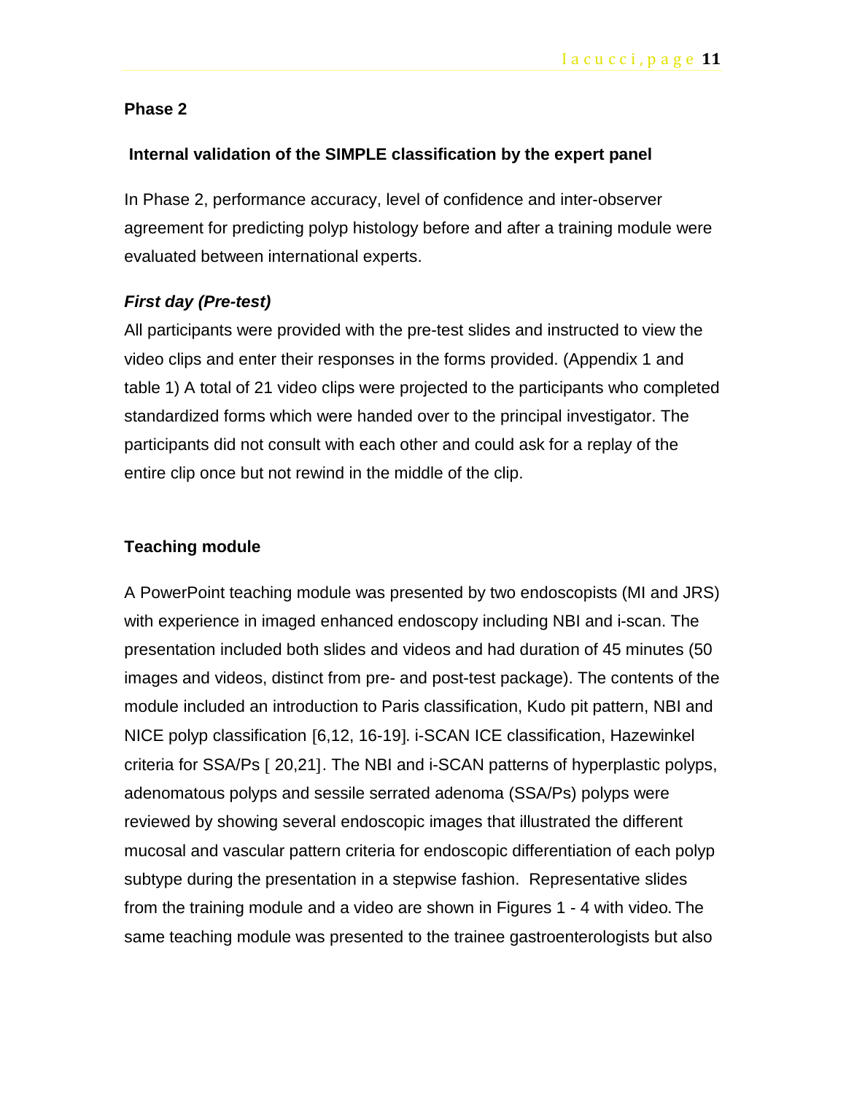#### **Phase 2**

#### **Internal validation of the SIMPLE classification by the expert panel**

In Phase 2, performance accuracy, level of confidence and inter-observer agreement for predicting polyp histology before and after a training module were evaluated between international experts.

#### *First day (Pre-test)*

All participants were provided with the pre-test slides and instructed to view the video clips and enter their responses in the forms provided. (Appendix 1 and table 1) A total of 21 video clips were projected to the participants who completed standardized forms which were handed over to the principal investigator. The participants did not consult with each other and could ask for a replay of the entire clip once but not rewind in the middle of the clip.

#### **Teaching module**

A PowerPoint teaching module was presented by two endoscopists (MI and JRS) with experience in imaged enhanced endoscopy including NBI and i-scan. The presentation included both slides and videos and had duration of 45 minutes (50 images and videos, distinct from pre- and post-test package). The contents of the module included an introduction to Paris classification, Kudo pit pattern, NBI and NICE polyp classification [6,12, 16-19]. i-SCAN ICE classification, Hazewinkel criteria for SSA/Ps [ 20,21]. The NBI and i-SCAN patterns of hyperplastic polyps, adenomatous polyps and sessile serrated adenoma (SSA/Ps) polyps were reviewed by showing several endoscopic images that illustrated the different mucosal and vascular pattern criteria for endoscopic differentiation of each polyp subtype during the presentation in a stepwise fashion. Representative slides from the training module and a video are shown in Figures 1 - 4 with video. The same teaching module was presented to the trainee gastroenterologists but also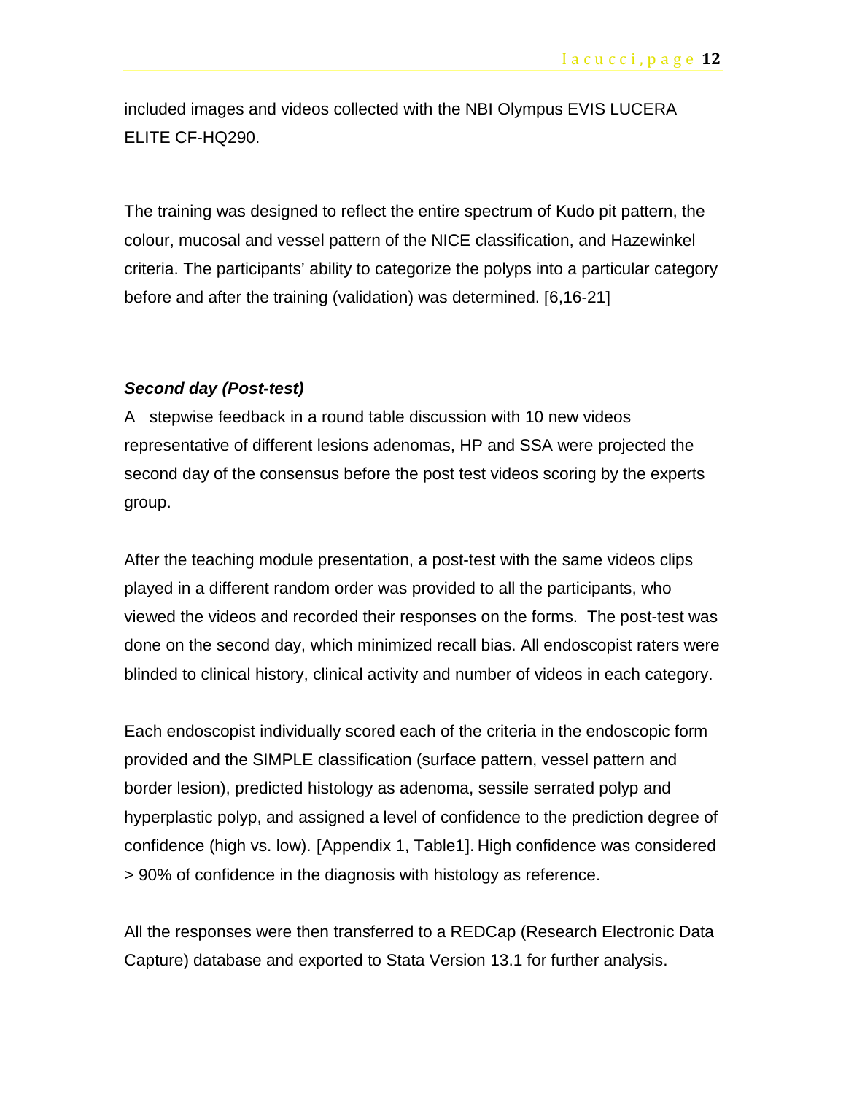included images and videos collected with the NBI Olympus EVIS LUCERA ELITE CF-HQ290.

The training was designed to reflect the entire spectrum of Kudo pit pattern, the colour, mucosal and vessel pattern of the NICE classification, and Hazewinkel criteria. The participants' ability to categorize the polyps into a particular category before and after the training (validation) was determined. [6,16-21]

#### *Second day (Post-test)*

A stepwise feedback in a round table discussion with 10 new videos representative of different lesions adenomas, HP and SSA were projected the second day of the consensus before the post test videos scoring by the experts group.

After the teaching module presentation, a post-test with the same videos clips played in a different random order was provided to all the participants, who viewed the videos and recorded their responses on the forms. The post-test was done on the second day, which minimized recall bias. All endoscopist raters were blinded to clinical history, clinical activity and number of videos in each category.

Each endoscopist individually scored each of the criteria in the endoscopic form provided and the SIMPLE classification (surface pattern, vessel pattern and border lesion), predicted histology as adenoma, sessile serrated polyp and hyperplastic polyp, and assigned a level of confidence to the prediction degree of confidence (high vs. low). [Appendix 1, Table1]. High confidence was considered > 90% of confidence in the diagnosis with histology as reference.

All the responses were then transferred to a REDCap (Research Electronic Data Capture) database and exported to Stata Version 13.1 for further analysis.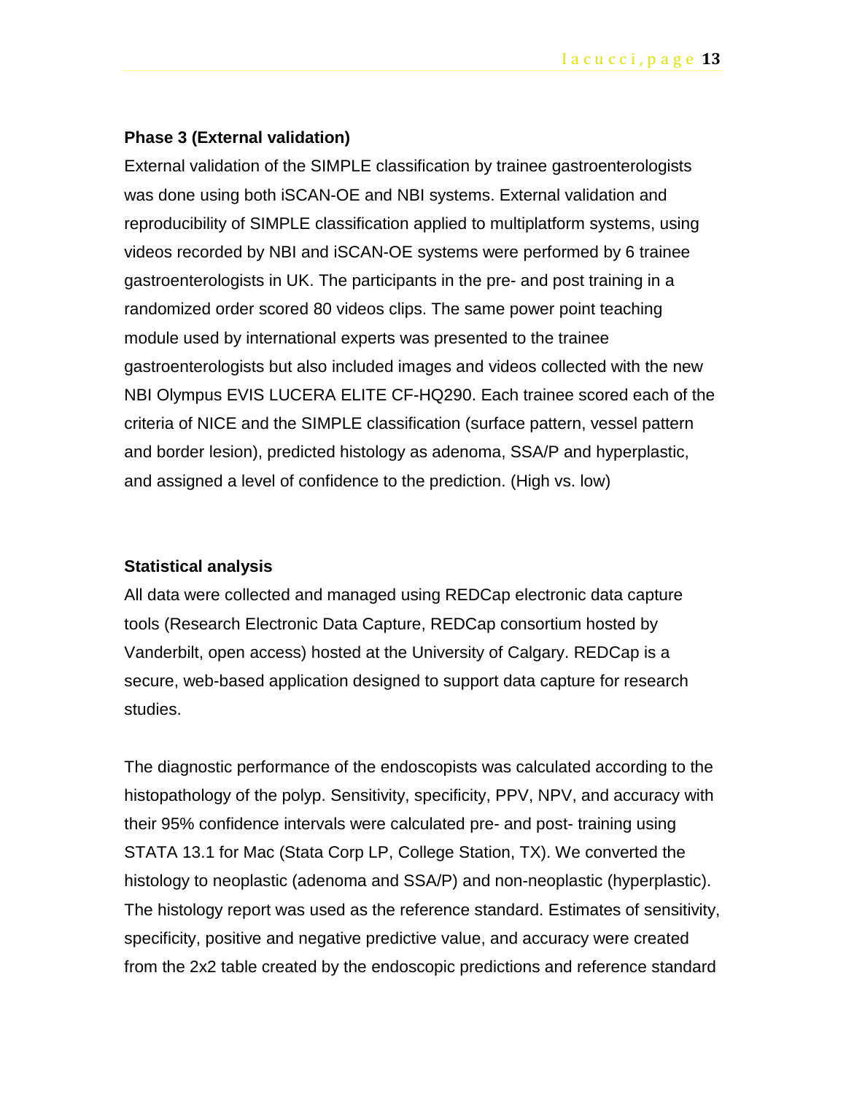#### **Phase 3 (External validation)**

External validation of the SIMPLE classification by trainee gastroenterologists was done using both iSCAN-OE and NBI systems. External validation and reproducibility of SIMPLE classification applied to multiplatform systems, using videos recorded by NBI and iSCAN-OE systems were performed by 6 trainee gastroenterologists in UK. The participants in the pre- and post training in a randomized order scored 80 videos clips. The same power point teaching module used by international experts was presented to the trainee gastroenterologists but also included images and videos collected with the new NBI Olympus EVIS LUCERA ELITE CF-HQ290. Each trainee scored each of the criteria of NICE and the SIMPLE classification (surface pattern, vessel pattern and border lesion), predicted histology as adenoma, SSA/P and hyperplastic, and assigned a level of confidence to the prediction. (High vs. low)

#### **Statistical analysis**

All data were collected and managed using REDCap electronic data capture tools (Research Electronic Data Capture, REDCap consortium hosted by Vanderbilt, open access) hosted at the University of Calgary. REDCap is a secure, web-based application designed to support data capture for research studies.

The diagnostic performance of the endoscopists was calculated according to the histopathology of the polyp. Sensitivity, specificity, PPV, NPV, and accuracy with their 95% confidence intervals were calculated pre- and post- training using STATA 13.1 for Mac (Stata Corp LP, College Station, TX). We converted the histology to neoplastic (adenoma and SSA/P) and non-neoplastic (hyperplastic). The histology report was used as the reference standard. Estimates of sensitivity, specificity, positive and negative predictive value, and accuracy were created from the 2x2 table created by the endoscopic predictions and reference standard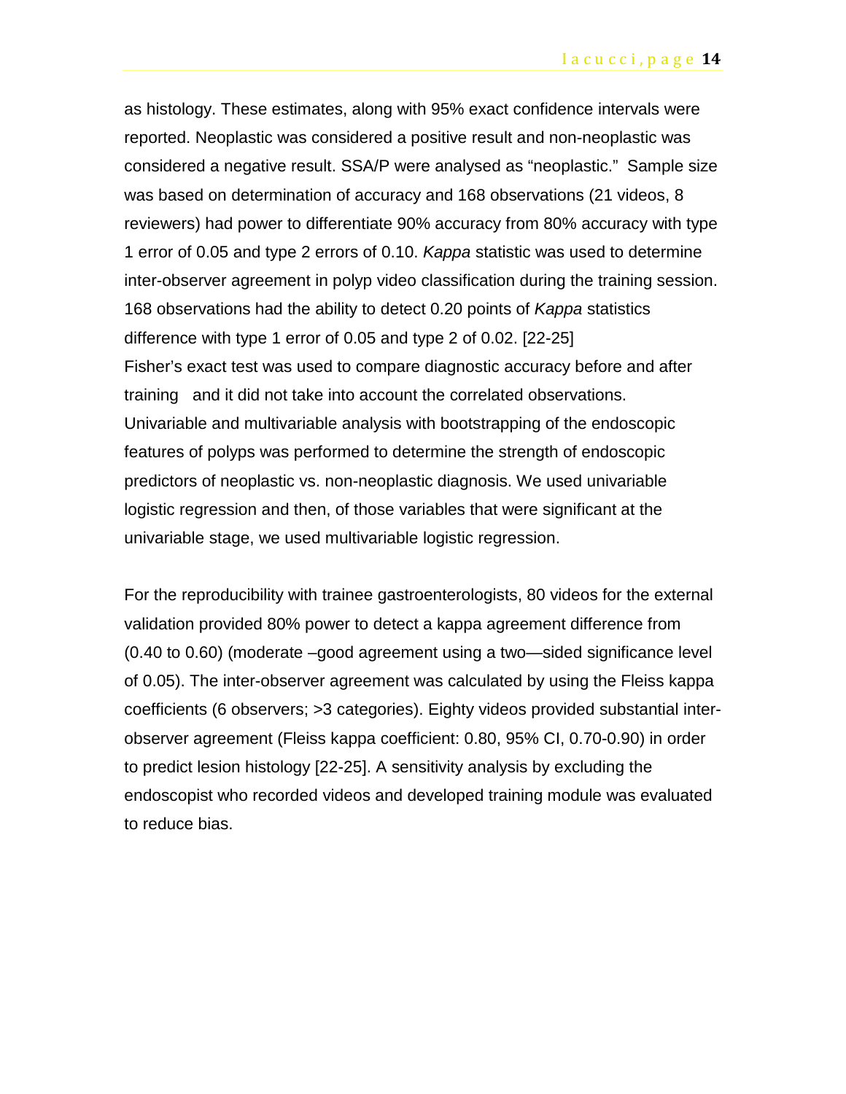as histology. These estimates, along with 95% exact confidence intervals were reported. Neoplastic was considered a positive result and non-neoplastic was considered a negative result. SSA/P were analysed as "neoplastic." Sample size was based on determination of accuracy and 168 observations (21 videos, 8 reviewers) had power to differentiate 90% accuracy from 80% accuracy with type 1 error of 0.05 and type 2 errors of 0.10. *Kappa* statistic was used to determine inter-observer agreement in polyp video classification during the training session. 168 observations had the ability to detect 0.20 points of *Kappa* statistics difference with type 1 error of 0.05 and type 2 of 0.02. [22-25] Fisher's exact test was used to compare diagnostic accuracy before and after training and it did not take into account the correlated observations. Univariable and multivariable analysis with bootstrapping of the endoscopic features of polyps was performed to determine the strength of endoscopic predictors of neoplastic vs. non-neoplastic diagnosis. We used univariable logistic regression and then, of those variables that were significant at the univariable stage, we used multivariable logistic regression.

For the reproducibility with trainee gastroenterologists, 80 videos for the external validation provided 80% power to detect a kappa agreement difference from (0.40 to 0.60) (moderate –good agreement using a two—sided significance level of 0.05). The inter-observer agreement was calculated by using the Fleiss kappa coefficients (6 observers; >3 categories). Eighty videos provided substantial interobserver agreement (Fleiss kappa coefficient: 0.80, 95% CI, 0.70-0.90) in order to predict lesion histology [22-25]. A sensitivity analysis by excluding the endoscopist who recorded videos and developed training module was evaluated to reduce bias.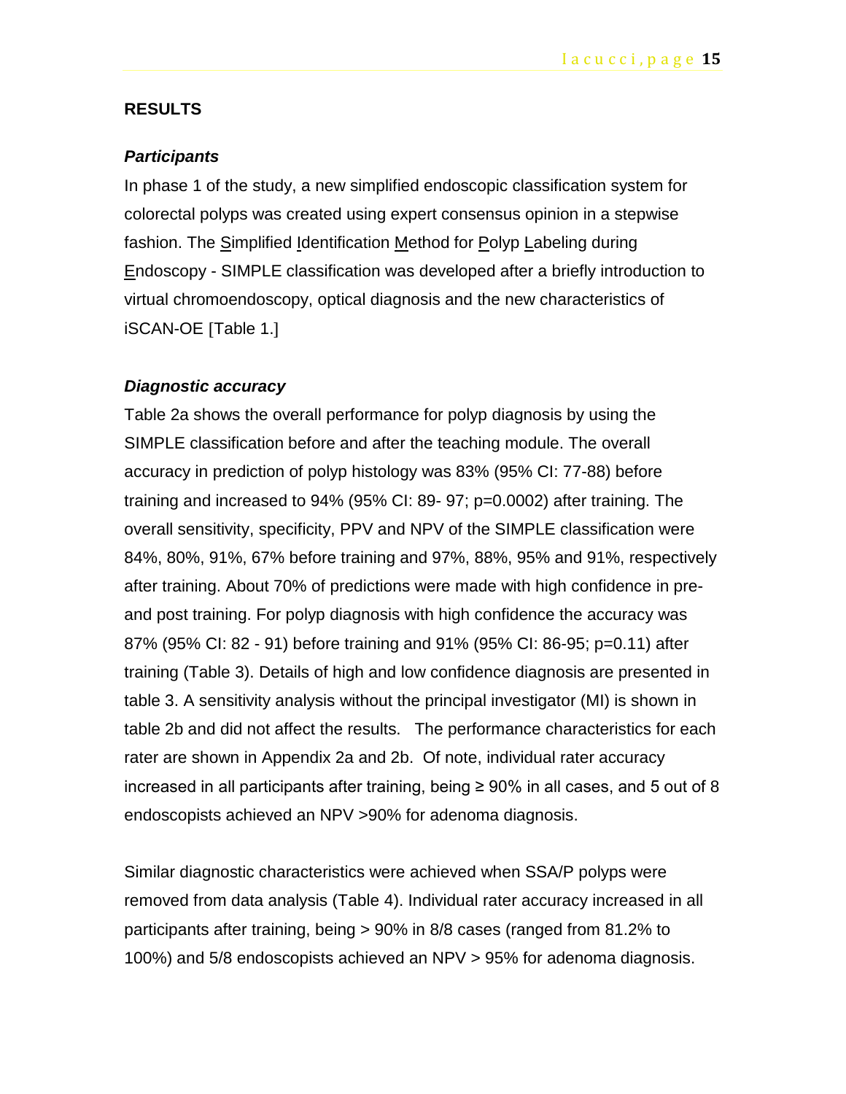#### **RESULTS**

#### *Participants*

In phase 1 of the study, a new simplified endoscopic classification system for colorectal polyps was created using expert consensus opinion in a stepwise fashion. The Simplified Identification Method for Polyp Labeling during Endoscopy - SIMPLE classification was developed after a briefly introduction to virtual chromoendoscopy, optical diagnosis and the new characteristics of iSCAN-OE [Table 1.]

#### *Diagnostic accuracy*

Table 2a shows the overall performance for polyp diagnosis by using the SIMPLE classification before and after the teaching module. The overall accuracy in prediction of polyp histology was 83% (95% CI: 77-88) before training and increased to 94% (95% CI: 89- 97; p=0.0002) after training. The overall sensitivity, specificity, PPV and NPV of the SIMPLE classification were 84%, 80%, 91%, 67% before training and 97%, 88%, 95% and 91%, respectively after training. About 70% of predictions were made with high confidence in preand post training. For polyp diagnosis with high confidence the accuracy was 87% (95% CI: 82 - 91) before training and 91% (95% CI: 86-95; p=0.11) after training (Table 3). Details of high and low confidence diagnosis are presented in table 3. A sensitivity analysis without the principal investigator (MI) is shown in table 2b and did not affect the results. The performance characteristics for each rater are shown in Appendix 2a and 2b. Of note, individual rater accuracy increased in all participants after training, being  $\geq 90\%$  in all cases, and 5 out of 8 endoscopists achieved an NPV >90% for adenoma diagnosis.

Similar diagnostic characteristics were achieved when SSA/P polyps were removed from data analysis (Table 4). Individual rater accuracy increased in all participants after training, being > 90% in 8/8 cases (ranged from 81.2% to 100%) and 5/8 endoscopists achieved an NPV > 95% for adenoma diagnosis.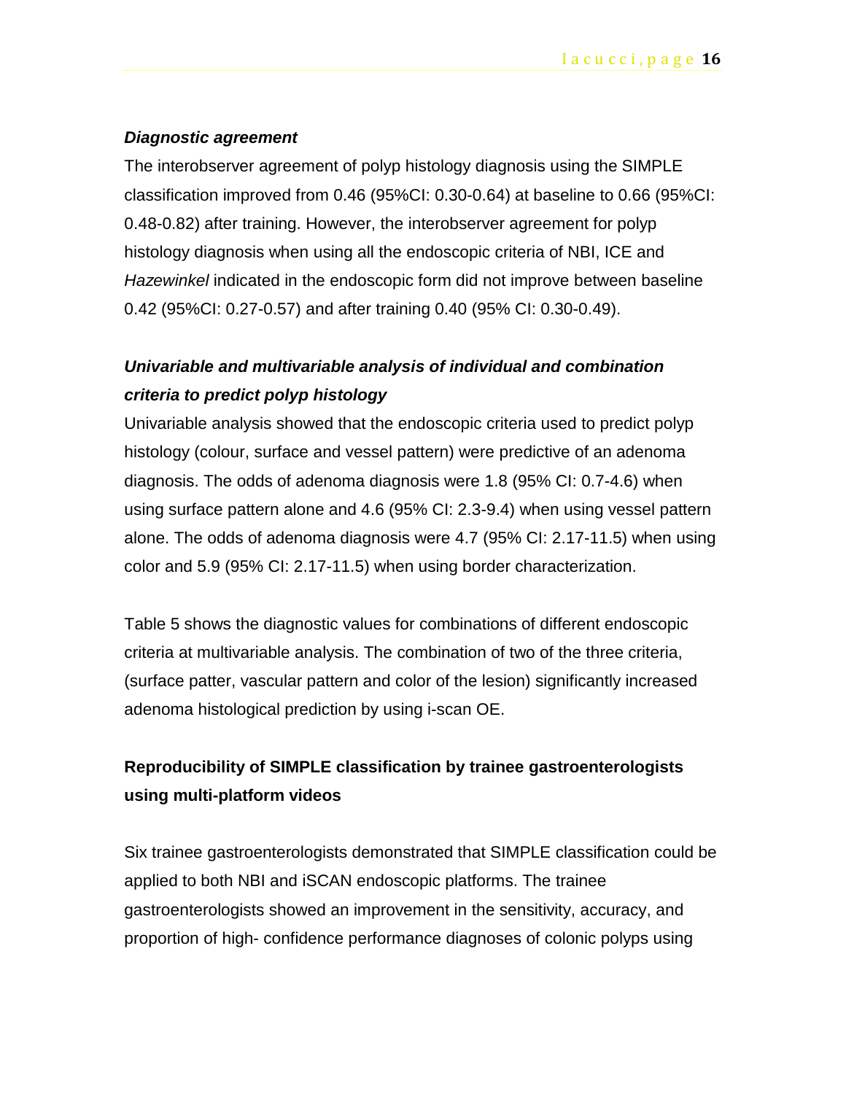#### *Diagnostic agreement*

The interobserver agreement of polyp histology diagnosis using the SIMPLE classification improved from 0.46 (95%CI: 0.30-0.64) at baseline to 0.66 (95%CI: 0.48-0.82) after training. However, the interobserver agreement for polyp histology diagnosis when using all the endoscopic criteria of NBI, ICE and *Hazewinkel* indicated in the endoscopic form did not improve between baseline 0.42 (95%CI: 0.27-0.57) and after training 0.40 (95% CI: 0.30-0.49).

# *Univariable and multivariable analysis of individual and combination criteria to predict polyp histology*

Univariable analysis showed that the endoscopic criteria used to predict polyp histology (colour, surface and vessel pattern) were predictive of an adenoma diagnosis. The odds of adenoma diagnosis were 1.8 (95% CI: 0.7-4.6) when using surface pattern alone and 4.6 (95% CI: 2.3-9.4) when using vessel pattern alone. The odds of adenoma diagnosis were 4.7 (95% CI: 2.17-11.5) when using color and 5.9 (95% CI: 2.17-11.5) when using border characterization.

Table 5 shows the diagnostic values for combinations of different endoscopic criteria at multivariable analysis. The combination of two of the three criteria, (surface patter, vascular pattern and color of the lesion) significantly increased adenoma histological prediction by using i-scan OE.

## **Reproducibility of SIMPLE classification by trainee gastroenterologists using multi-platform videos**

Six trainee gastroenterologists demonstrated that SIMPLE classification could be applied to both NBI and iSCAN endoscopic platforms. The trainee gastroenterologists showed an improvement in the sensitivity, accuracy, and proportion of high- confidence performance diagnoses of colonic polyps using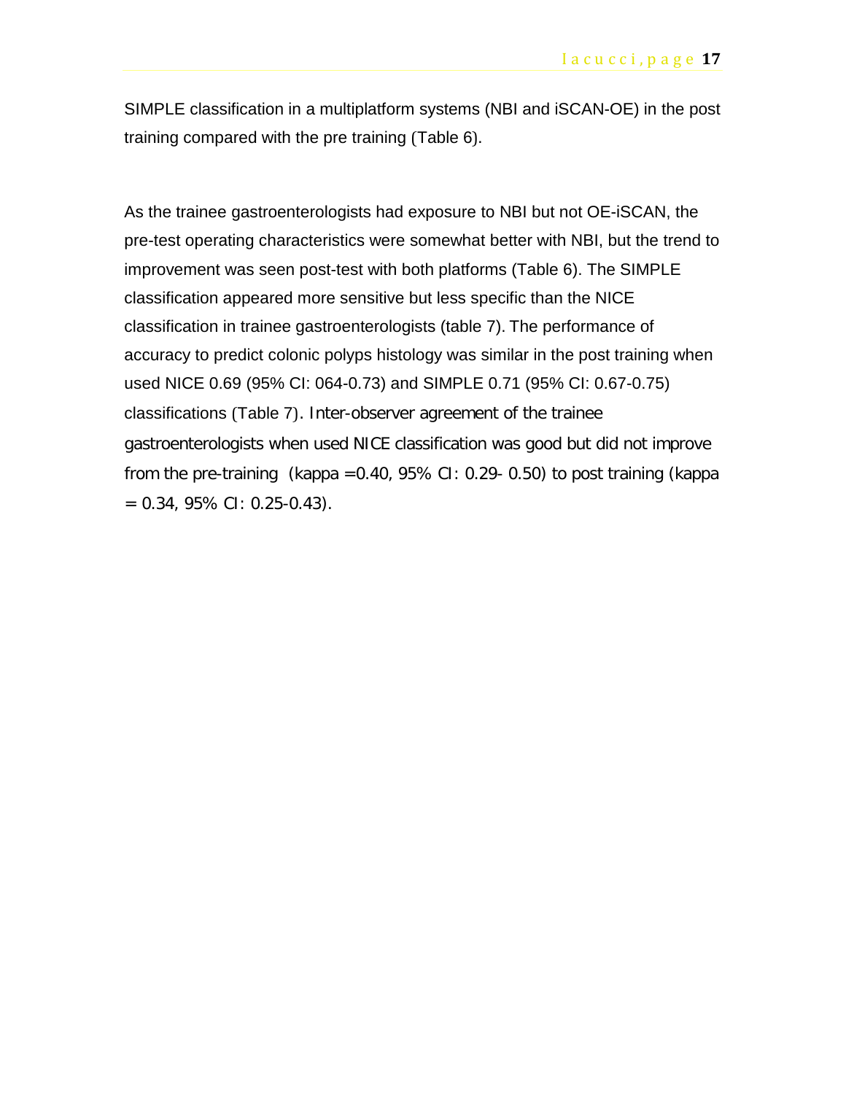SIMPLE classification in a multiplatform systems (NBI and iSCAN-OE) in the post training compared with the pre training (Table 6).

As the trainee gastroenterologists had exposure to NBI but not OE-iSCAN, the pre-test operating characteristics were somewhat better with NBI, but the trend to improvement was seen post-test with both platforms (Table 6). The SIMPLE classification appeared more sensitive but less specific than the NICE classification in trainee gastroenterologists (table 7). The performance of accuracy to predict colonic polyps histology was similar in the post training when used NICE 0.69 (95% CI: 064-0.73) and SIMPLE 0.71 (95% CI: 0.67-0.75) classifications (Table 7). Inter-observer agreement of the trainee gastroenterologists when used NICE classification was good but did not improve from the pre-training (kappa =  $0.40$ , 95% CI: 0.29 - 0.50) to post training (kappa  $= 0.34, 95\% \text{ CI: } 0.25 - 0.43$ .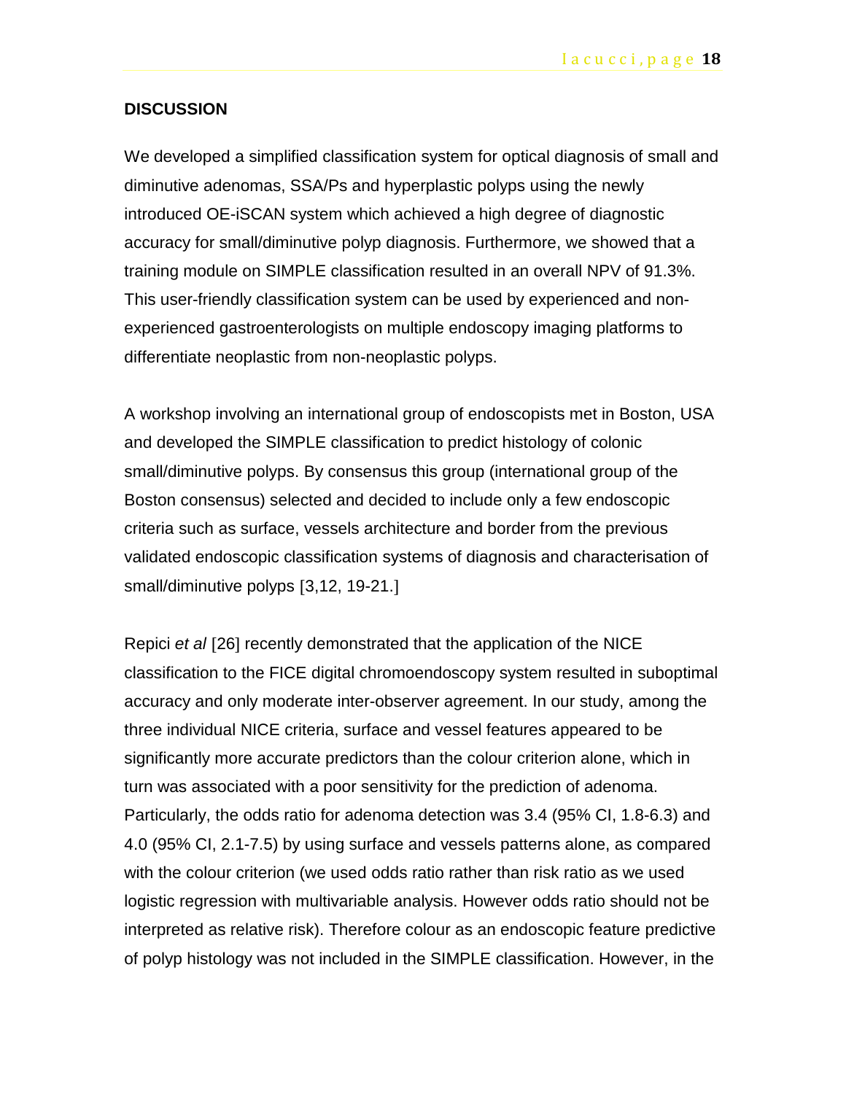#### **DISCUSSION**

We developed a simplified classification system for optical diagnosis of small and diminutive adenomas, SSA/Ps and hyperplastic polyps using the newly introduced OE-iSCAN system which achieved a high degree of diagnostic accuracy for small/diminutive polyp diagnosis. Furthermore, we showed that a training module on SIMPLE classification resulted in an overall NPV of 91.3%. This user-friendly classification system can be used by experienced and nonexperienced gastroenterologists on multiple endoscopy imaging platforms to differentiate neoplastic from non-neoplastic polyps.

A workshop involving an international group of endoscopists met in Boston, USA and developed the SIMPLE classification to predict histology of colonic small/diminutive polyps. By consensus this group (international group of the Boston consensus) selected and decided to include only a few endoscopic criteria such as surface, vessels architecture and border from the previous validated endoscopic classification systems of diagnosis and characterisation of small/diminutive polyps [3,12, 19-21.]

Repici *et al* [26] recently demonstrated that the application of the NICE classification to the FICE digital chromoendoscopy system resulted in suboptimal accuracy and only moderate inter-observer agreement. In our study, among the three individual NICE criteria, surface and vessel features appeared to be significantly more accurate predictors than the colour criterion alone, which in turn was associated with a poor sensitivity for the prediction of adenoma. Particularly, the odds ratio for adenoma detection was 3.4 (95% CI, 1.8-6.3) and 4.0 (95% CI, 2.1-7.5) by using surface and vessels patterns alone, as compared with the colour criterion (we used odds ratio rather than risk ratio as we used logistic regression with multivariable analysis. However odds ratio should not be interpreted as relative risk). Therefore colour as an endoscopic feature predictive of polyp histology was not included in the SIMPLE classification. However, in the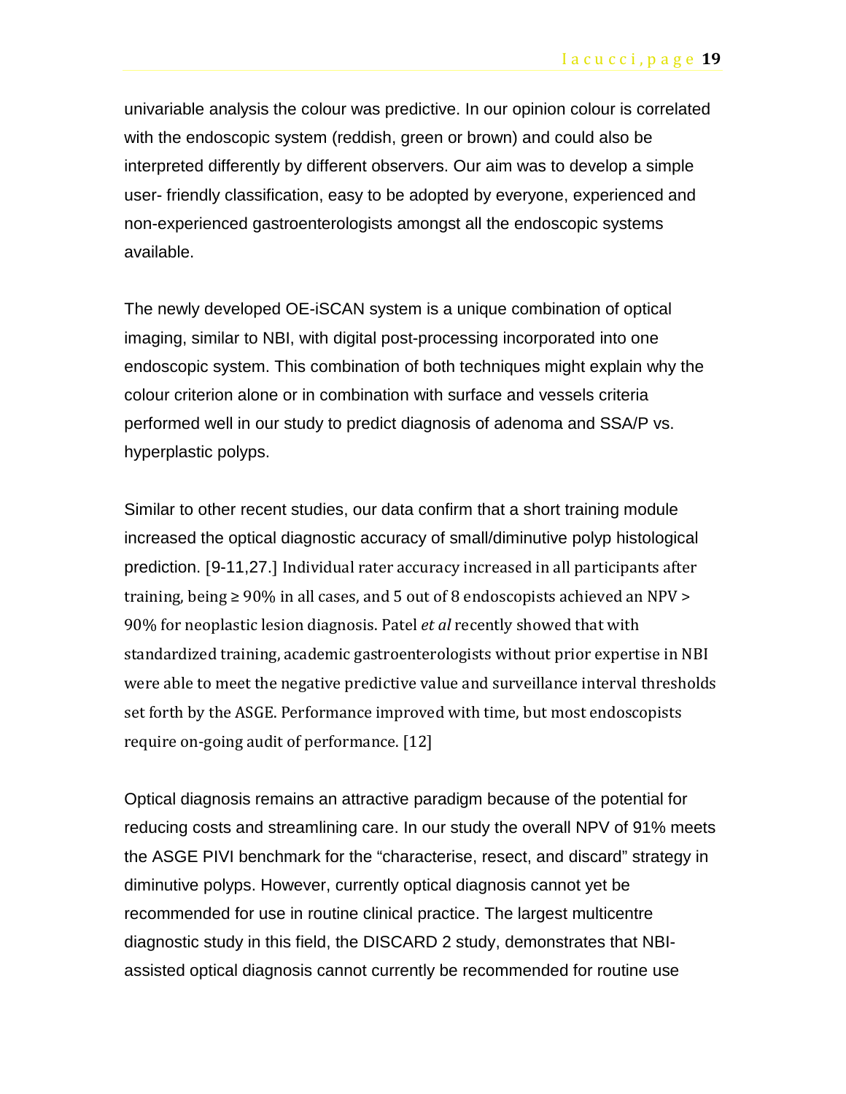univariable analysis the colour was predictive. In our opinion colour is correlated with the endoscopic system (reddish, green or brown) and could also be interpreted differently by different observers. Our aim was to develop a simple user- friendly classification, easy to be adopted by everyone, experienced and non-experienced gastroenterologists amongst all the endoscopic systems available.

The newly developed OE-iSCAN system is a unique combination of optical imaging, similar to NBI, with digital post-processing incorporated into one endoscopic system. This combination of both techniques might explain why the colour criterion alone or in combination with surface and vessels criteria performed well in our study to predict diagnosis of adenoma and SSA/P vs. hyperplastic polyps.

Similar to other recent studies, our data confirm that a short training module increased the optical diagnostic accuracy of small/diminutive polyp histological prediction. [9-11,27.] Individual rater accuracy increased in all participants after training, being  $\geq 90\%$  in all cases, and 5 out of 8 endoscopists achieved an NPV  $>$ 90% for neoplastic lesion diagnosis. Patel *et al* recently showed that with standardized training, academic gastroenterologists without prior expertise in NBI were able to meet the negative predictive value and surveillance interval thresholds set forth by the ASGE. Performance improved with time, but most endoscopists require on-going audit of performance. [12]

Optical diagnosis remains an attractive paradigm because of the potential for reducing costs and streamlining care. In our study the overall NPV of 91% meets the ASGE PIVI benchmark for the "characterise, resect, and discard" strategy in diminutive polyps. However, currently optical diagnosis cannot yet be recommended for use in routine clinical practice. The largest multicentre diagnostic study in this field, the DISCARD 2 study, demonstrates that NBIassisted optical diagnosis cannot currently be recommended for routine use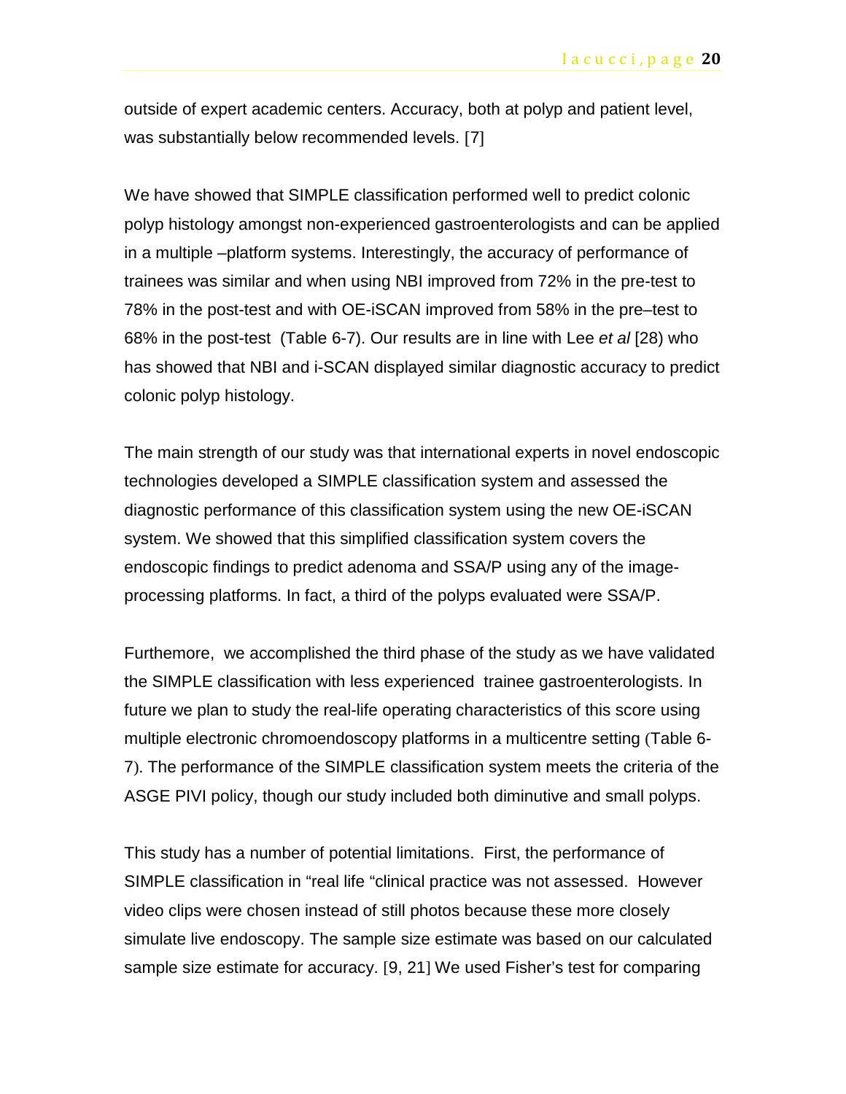outside of expert academic centers. Accuracy, both at polyp and patient level, was substantially below recommended levels. [7]

We have showed that SIMPLE classification performed well to predict colonic polyp histology amongst non-experienced gastroenterologists and can be applied in a multiple –platform systems. Interestingly, the accuracy of performance of trainees was similar and when using NBI improved from 72% in the pre-test to 78% in the post-test and with OE-iSCAN improved from 58% in the pre–test to 68% in the post-test (Table 6-7). Our results are in line with Lee *et al* [28) who has showed that NBI and i-SCAN displayed similar diagnostic accuracy to predict colonic polyp histology.

The main strength of our study was that international experts in novel endoscopic technologies developed a SIMPLE classification system and assessed the diagnostic performance of this classification system using the new OE-iSCAN system. We showed that this simplified classification system covers the endoscopic findings to predict adenoma and SSA/P using any of the imageprocessing platforms. In fact, a third of the polyps evaluated were SSA/P.

Furthemore, we accomplished the third phase of the study as we have validated the SIMPLE classification with less experienced trainee gastroenterologists. In future we plan to study the real-life operating characteristics of this score using multiple electronic chromoendoscopy platforms in a multicentre setting (Table 6- 7). The performance of the SIMPLE classification system meets the criteria of the ASGE PIVI policy, though our study included both diminutive and small polyps.

This study has a number of potential limitations. First, the performance of SIMPLE classification in "real life "clinical practice was not assessed. However video clips were chosen instead of still photos because these more closely simulate live endoscopy. The sample size estimate was based on our calculated sample size estimate for accuracy. [9, 21] We used Fisher's test for comparing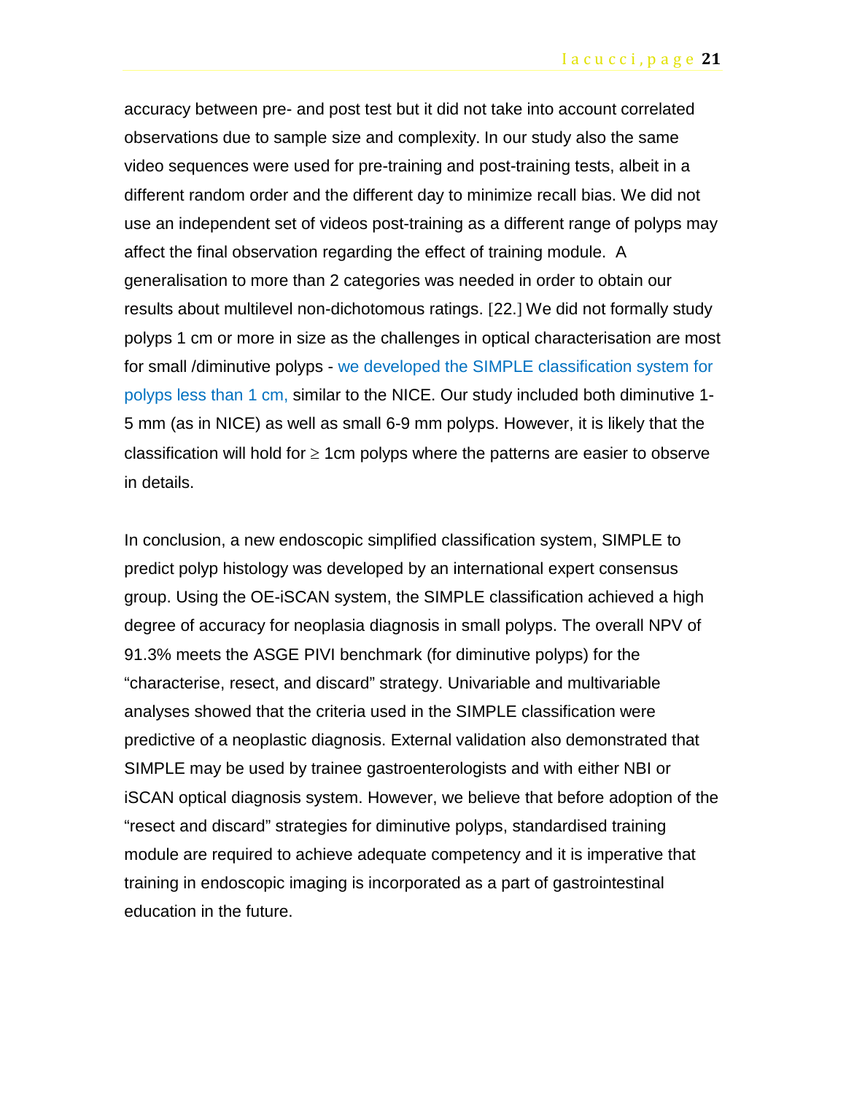accuracy between pre- and post test but it did not take into account correlated observations due to sample size and complexity. In our study also the same video sequences were used for pre-training and post-training tests, albeit in a different random order and the different day to minimize recall bias. We did not use an independent set of videos post-training as a different range of polyps may affect the final observation regarding the effect of training module. A generalisation to more than 2 categories was needed in order to obtain our results about multilevel non-dichotomous ratings. [22.] We did not formally study polyps 1 cm or more in size as the challenges in optical characterisation are most for small /diminutive polyps - we developed the SIMPLE classification system for polyps less than 1 cm, similar to the NICE. Our study included both diminutive 1- 5 mm (as in NICE) as well as small 6-9 mm polyps. However, it is likely that the classification will hold for  $\geq 1$ cm polyps where the patterns are easier to observe in details.

In conclusion, a new endoscopic simplified classification system, SIMPLE to predict polyp histology was developed by an international expert consensus group. Using the OE-iSCAN system, the SIMPLE classification achieved a high degree of accuracy for neoplasia diagnosis in small polyps. The overall NPV of 91.3% meets the ASGE PIVI benchmark (for diminutive polyps) for the "characterise, resect, and discard" strategy. Univariable and multivariable analyses showed that the criteria used in the SIMPLE classification were predictive of a neoplastic diagnosis. External validation also demonstrated that SIMPLE may be used by trainee gastroenterologists and with either NBI or iSCAN optical diagnosis system. However, we believe that before adoption of the "resect and discard" strategies for diminutive polyps, standardised training module are required to achieve adequate competency and it is imperative that training in endoscopic imaging is incorporated as a part of gastrointestinal education in the future.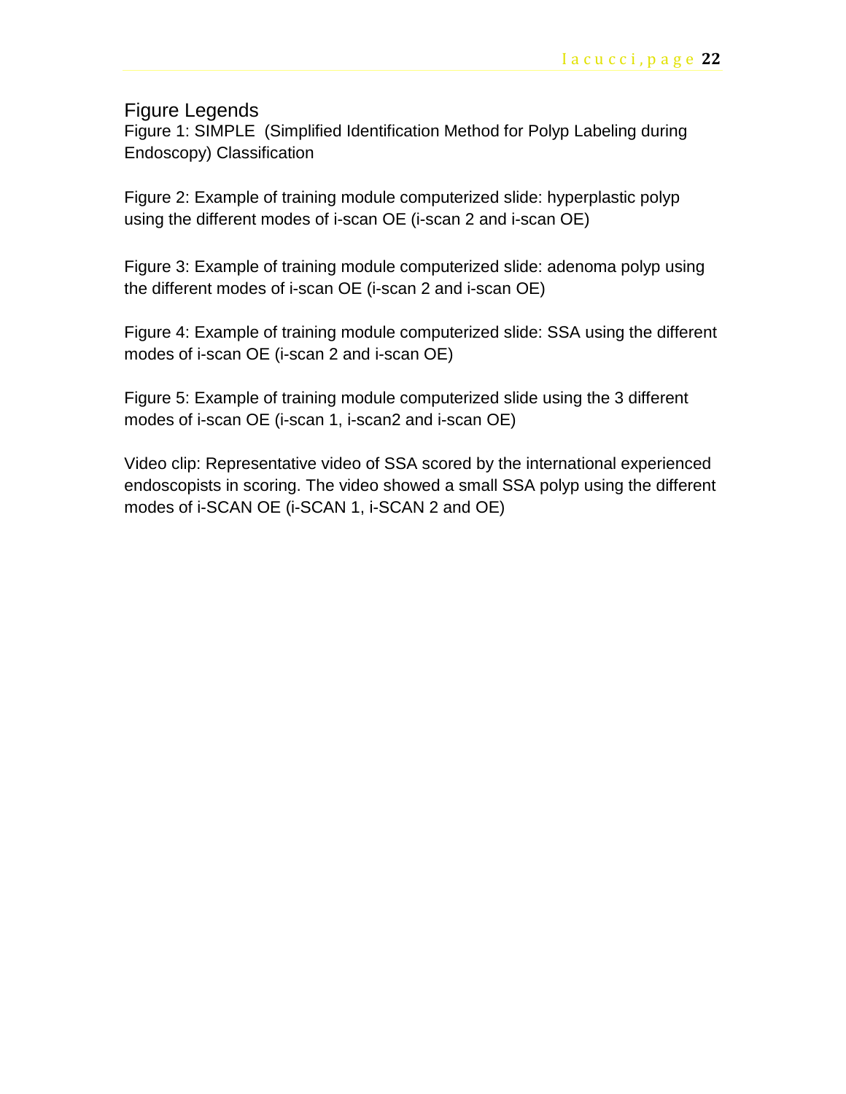## Figure Legends

Figure 1: SIMPLE (Simplified Identification Method for Polyp Labeling during Endoscopy) Classification

Figure 2: Example of training module computerized slide: hyperplastic polyp using the different modes of i-scan OE (i-scan 2 and i-scan OE)

Figure 3: Example of training module computerized slide: adenoma polyp using the different modes of i-scan OE (i-scan 2 and i-scan OE)

Figure 4: Example of training module computerized slide: SSA using the different modes of i-scan OE (i-scan 2 and i-scan OE)

Figure 5: Example of training module computerized slide using the 3 different modes of i-scan OE (i-scan 1, i-scan2 and i-scan OE)

Video clip: Representative video of SSA scored by the international experienced endoscopists in scoring. The video showed a small SSA polyp using the different modes of i-SCAN OE (i-SCAN 1, i-SCAN 2 and OE)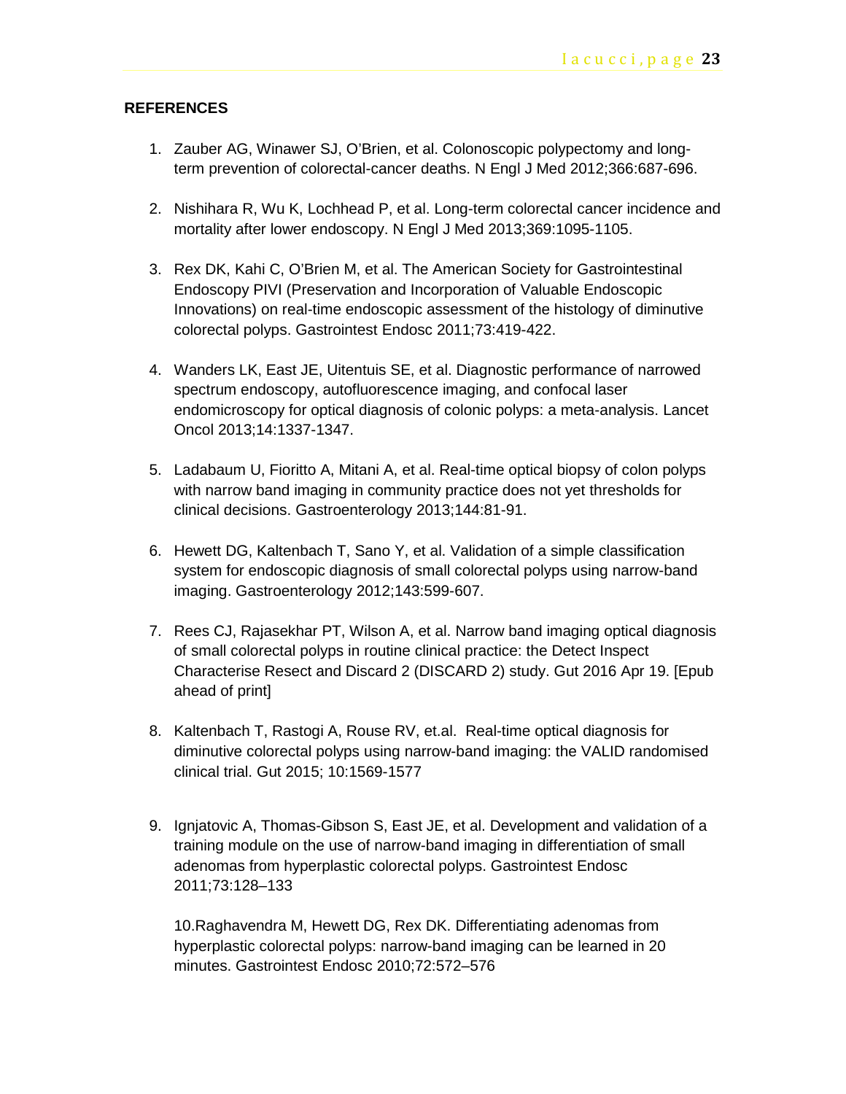#### **REFERENCES**

- 1. Zauber AG, Winawer SJ, O'Brien, et al. Colonoscopic polypectomy and longterm prevention of colorectal-cancer deaths. N Engl J Med 2012;366:687-696.
- 2. Nishihara R, Wu K, Lochhead P, et al. Long-term colorectal cancer incidence and mortality after lower endoscopy. N Engl J Med 2013;369:1095-1105.
- 3. Rex DK, Kahi C, O'Brien M, et al. The American Society for Gastrointestinal Endoscopy PIVI (Preservation and Incorporation of Valuable Endoscopic Innovations) on real-time endoscopic assessment of the histology of diminutive colorectal polyps. Gastrointest Endosc 2011;73:419-422.
- 4. Wanders LK, East JE, Uitentuis SE, et al. Diagnostic performance of narrowed spectrum endoscopy, autofluorescence imaging, and confocal laser endomicroscopy for optical diagnosis of colonic polyps: a meta-analysis. Lancet Oncol 2013;14:1337-1347.
- 5. Ladabaum U, Fioritto A, Mitani A, et al. Real-time optical biopsy of colon polyps with narrow band imaging in community practice does not yet thresholds for clinical decisions. Gastroenterology 2013;144:81-91.
- 6. Hewett DG, Kaltenbach T, Sano Y, et al. Validation of a simple classification system for endoscopic diagnosis of small colorectal polyps using narrow-band imaging. Gastroenterology 2012;143:599-607.
- 7. Rees CJ, Rajasekhar PT, Wilson A, et al. Narrow band imaging optical diagnosis of small colorectal polyps in routine clinical practice: the Detect Inspect Characterise Resect and Discard 2 (DISCARD 2) study. Gut 2016 Apr 19. [Epub ahead of print]
- 8. Kaltenbach T, Rastogi A, Rouse RV, et.al. Real-time optical diagnosis for diminutive colorectal polyps using narrow-band imaging: the VALID randomised clinical trial. Gut 2015; 10:1569-1577
- 9. Ignjatovic A, Thomas-Gibson S, East JE, et al. Development and validation of a training module on the use of narrow-band imaging in differentiation of small adenomas from hyperplastic colorectal polyps. Gastrointest Endosc 2011;73:128–133

10.Raghavendra M, Hewett DG, Rex DK. Differentiating adenomas from hyperplastic colorectal polyps: narrow-band imaging can be learned in 20 minutes. Gastrointest Endosc 2010;72:572–576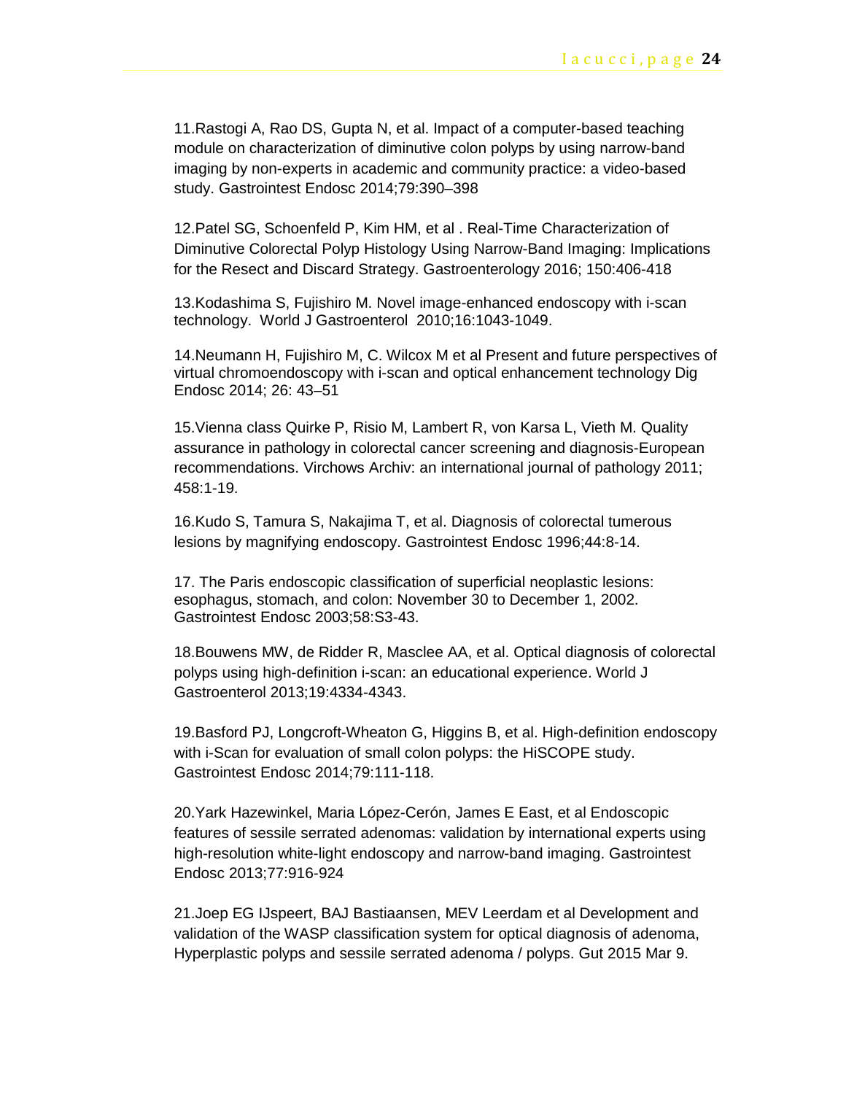11.Rastogi A, Rao DS, Gupta N, et al. Impact of a computer-based teaching module on characterization of diminutive colon polyps by using narrow-band imaging by non-experts in academic and community practice: a video-based study. Gastrointest Endosc 2014;79:390–398

12.Patel SG, Schoenfeld P, Kim HM, et al . Real-Time Characterization of Diminutive Colorectal Polyp Histology Using Narrow-Band Imaging: Implications for the Resect and Discard Strategy. Gastroenterology 2016; 150:406-418

13.Kodashima S, Fujishiro M. Novel image-enhanced endoscopy with i-scan technology. World J Gastroenterol 2010;16:1043-1049.

14.Neumann H, Fujishiro M, C. Wilcox M et al Present and future perspectives of virtual chromoendoscopy with i-scan and optical enhancement technology Dig Endosc 2014; 26: 43–51

15.Vienna class Quirke P, Risio M, Lambert R, von Karsa L, Vieth M. Quality assurance in pathology in colorectal cancer screening and diagnosis-European recommendations. Virchows Archiv: an international journal of pathology 2011; 458:1-19.

16.Kudo S, Tamura S, Nakajima T, et al. Diagnosis of colorectal tumerous lesions by magnifying endoscopy. Gastrointest Endosc 1996;44:8-14.

17. The Paris endoscopic classification of superficial neoplastic lesions: esophagus, stomach, and colon: November 30 to December 1, 2002. Gastrointest Endosc 2003;58:S3-43.

18.Bouwens MW, de Ridder R, Masclee AA, et al. Optical diagnosis of colorectal polyps using high-definition i-scan: an educational experience. World J Gastroenterol 2013;19:4334-4343.

19.Basford PJ, Longcroft-Wheaton G, Higgins B, et al. High-definition endoscopy with i-Scan for evaluation of small colon polyps: the HiSCOPE study. Gastrointest Endosc 2014;79:111-118.

20.Yark Hazewinkel, Maria López-Cerón, James E East, et al Endoscopic features of sessile serrated adenomas: validation by international experts using high-resolution white-light endoscopy and narrow-band imaging. Gastrointest Endosc 2013;77:916-924

21.Joep EG IJspeert, BAJ Bastiaansen, MEV Leerdam et al Development and validation of the WASP classification system for optical diagnosis of adenoma, Hyperplastic polyps and sessile serrated adenoma / polyps. Gut 2015 Mar 9.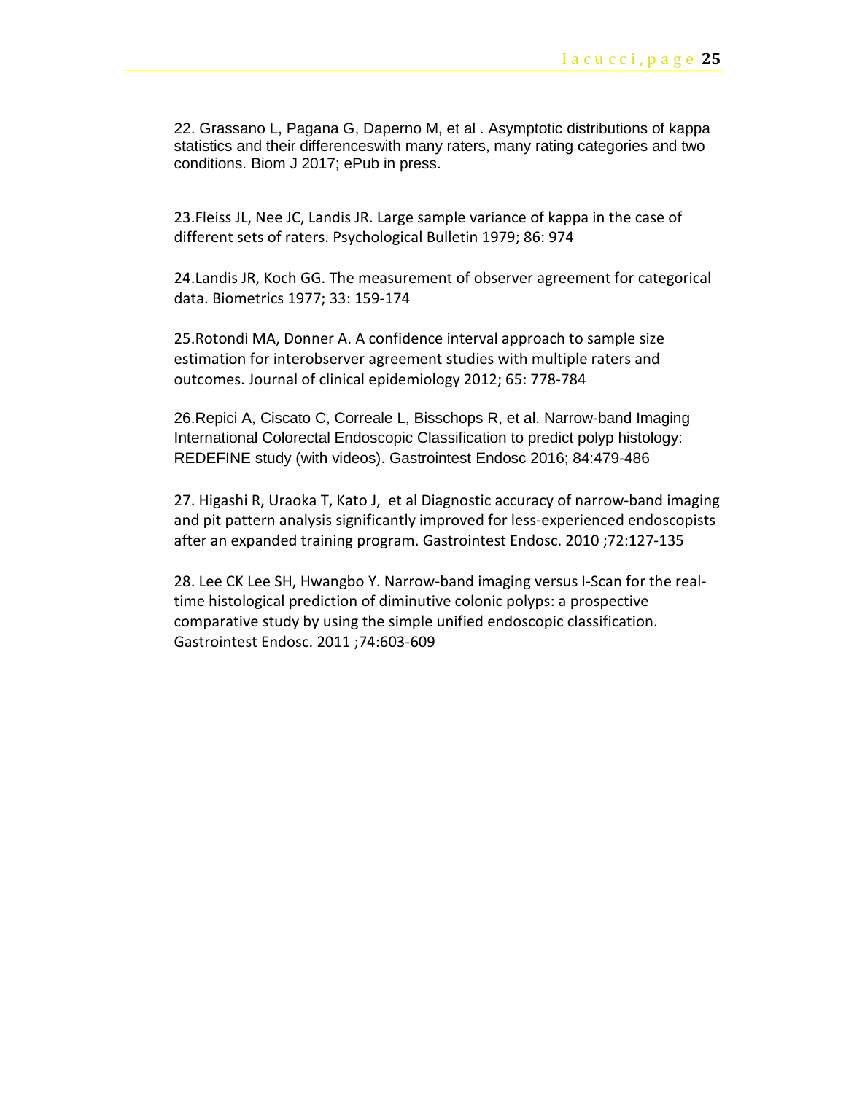22. Grassano L, Pagana G, Daperno M, et al . Asymptotic distributions of kappa statistics and their differenceswith many raters, many rating categories and two conditions. Biom J 2017; ePub in press.

23.Fleiss JL, Nee JC, Landis JR. Large sample variance of kappa in the case of different sets of raters. Psychological Bulletin 1979; 86: 974

24.Landis JR, Koch GG. The measurement of observer agreement for categorical data. Biometrics 1977; 33: 159-174

25.Rotondi MA, Donner A. A confidence interval approach to sample size estimation for interobserver agreement studies with multiple raters and outcomes. Journal of clinical epidemiology 2012; 65: 778-784

26.Repici A, Ciscato C, Correale L, Bisschops R, et al. Narrow-band Imaging International Colorectal Endoscopic Classification to predict polyp histology: REDEFINE study (with videos). Gastrointest Endosc 2016; 84:479-486

27. [Higashi R,](https://www-ncbi-nlm-nih-gov.ezproxy.lib.ucalgary.ca/pubmed/?term=Higashi%20R%5BAuthor%5D&cauthor=true&cauthor_uid=20493482) [Uraoka T,](https://www-ncbi-nlm-nih-gov.ezproxy.lib.ucalgary.ca/pubmed/?term=Uraoka%20T%5BAuthor%5D&cauthor=true&cauthor_uid=20493482) [Kato J,](https://www-ncbi-nlm-nih-gov.ezproxy.lib.ucalgary.ca/pubmed/?term=Kato%20J%5BAuthor%5D&cauthor=true&cauthor_uid=20493482) et al Diagnostic accuracy of narrow-band imaging and pit pattern analysis significantly improved for less-experienced endoscopists after an expanded training program. [Gastrointest Endosc.](https://www-ncbi-nlm-nih-gov.ezproxy.lib.ucalgary.ca/pubmed/?term=Higashi%2C(GIE+2010)%2C) 2010 ;72:127-135

28. [Lee CK](https://www-ncbi-nlm-nih-gov.ezproxy.lib.ucalgary.ca/pubmed/?term=Lee%20CK%5BAuthor%5D&cauthor=true&cauthor_uid=21762907) [Lee SH,](https://www-ncbi-nlm-nih-gov.ezproxy.lib.ucalgary.ca/pubmed/?term=Lee%20SH%5BAuthor%5D&cauthor=true&cauthor_uid=21762907) [Hwangbo Y.](https://www-ncbi-nlm-nih-gov.ezproxy.lib.ucalgary.ca/pubmed/?term=Hwangbo%20Y%5BAuthor%5D&cauthor=true&cauthor_uid=21762907) Narrow-band imaging versus I-Scan for the realtime histological prediction of diminutive colonic polyps: a prospective comparative study by using the simple unified endoscopic classification. [Gastrointest Endosc.](https://www-ncbi-nlm-nih-gov.ezproxy.lib.ucalgary.ca/pubmed/?term=Lee+CK%2C+Gastrointest+Endosc+2011%3B74%3A603-9) 2011 ;74:603-609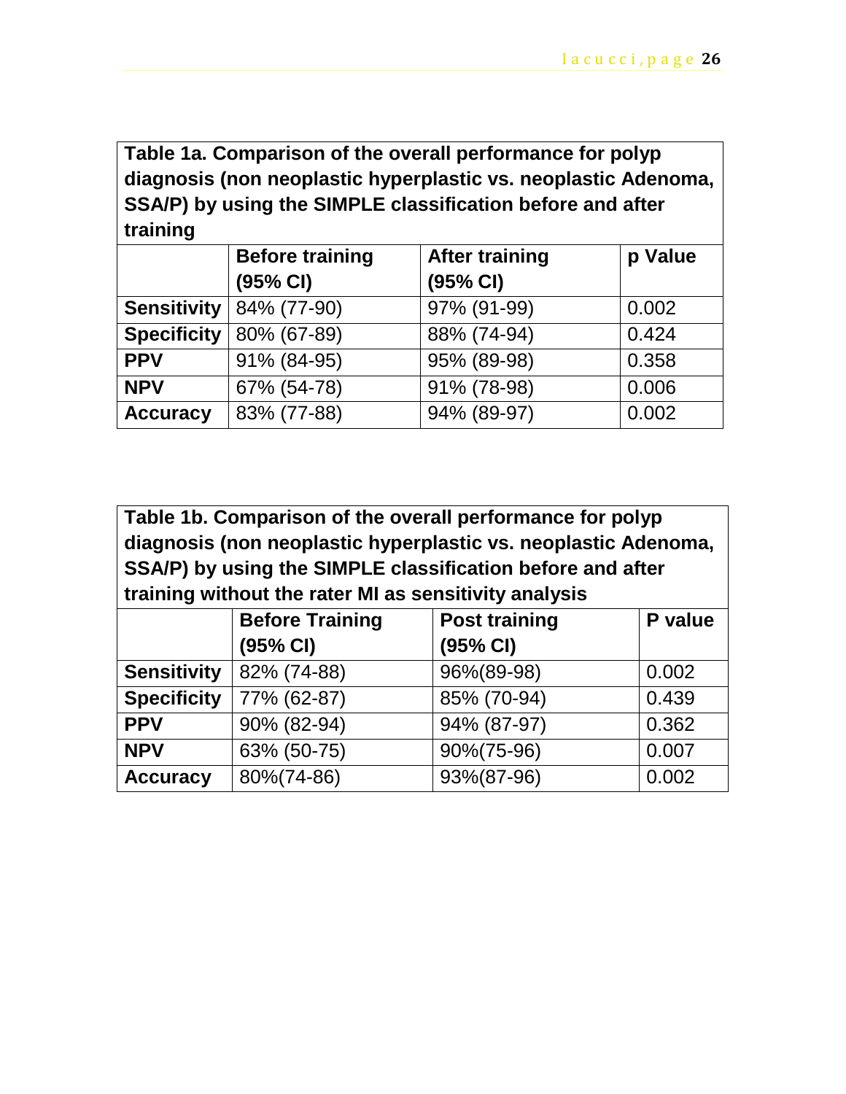**Table 1a. Comparison of the overall performance for polyp diagnosis (non neoplastic hyperplastic vs. neoplastic Adenoma, SSA/P) by using the SIMPLE classification before and after training**

|                    | <b>Before training</b> | <b>After training</b> | p Value |
|--------------------|------------------------|-----------------------|---------|
|                    | (95% CI)               | (95% CI)              |         |
| <b>Sensitivity</b> | 84% (77-90)            | 97% (91-99)           | 0.002   |
| <b>Specificity</b> | 80% (67-89)            | 88% (74-94)           | 0.424   |
| <b>PPV</b>         | 91% (84-95)            | 95% (89-98)           | 0.358   |
| <b>NPV</b>         | 67% (54-78)            | 91% (78-98)           | 0.006   |
| <b>Accuracy</b>    | 83% (77-88)            | 94% (89-97)           | 0.002   |

**Table 1b. Comparison of the overall performance for polyp diagnosis (non neoplastic hyperplastic vs. neoplastic Adenoma, SSA/P) by using the SIMPLE classification before and after training without the rater MI as sensitivity analysis**

|                    | <b>Before Training</b> | <b>Post training</b> | P value |
|--------------------|------------------------|----------------------|---------|
|                    | (95% CI)               | (95% CI)             |         |
| <b>Sensitivity</b> | 82% (74-88)            | 96%(89-98)           | 0.002   |
| <b>Specificity</b> | 77% (62-87)            | 85% (70-94)          | 0.439   |
| <b>PPV</b>         | 90% (82-94)            | 94% (87-97)          | 0.362   |
| <b>NPV</b>         | 63% (50-75)            | 90%(75-96)           | 0.007   |
| <b>Accuracy</b>    | 80%(74-86)             | 93%(87-96)           | 0.002   |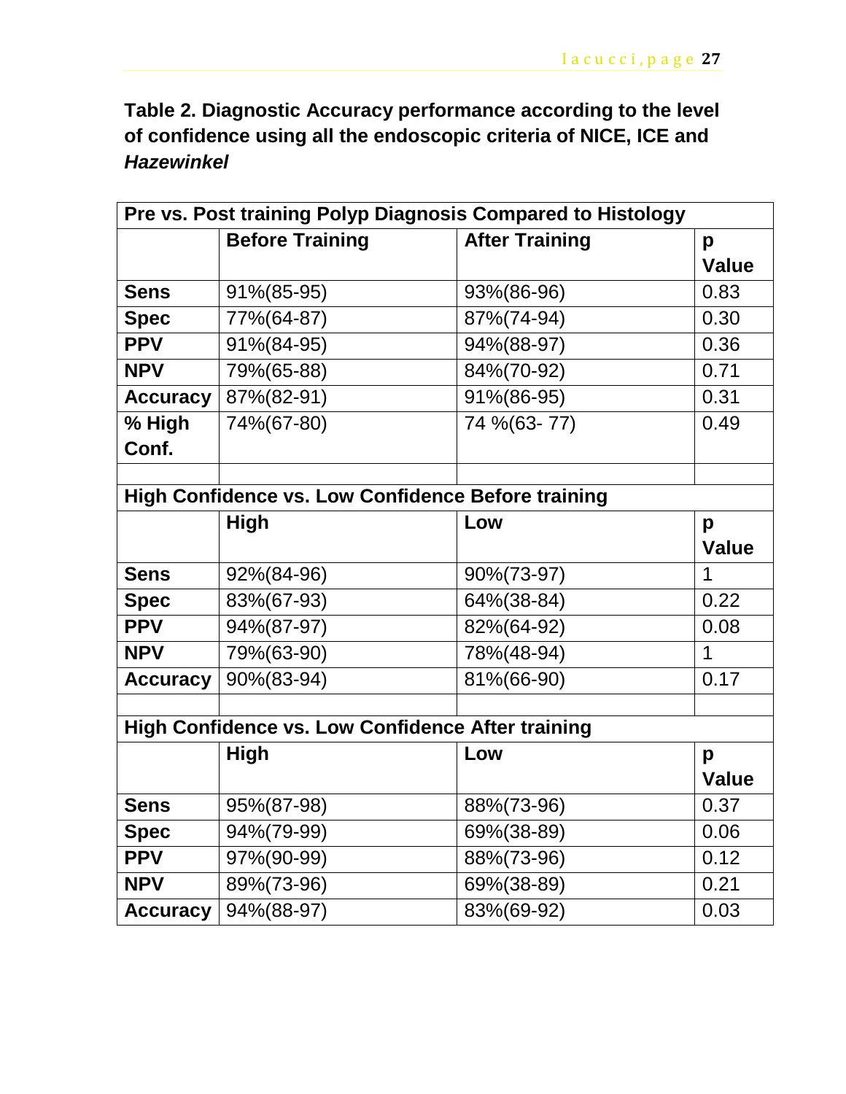**Table 2. Diagnostic Accuracy performance according to the level of confidence using all the endoscopic criteria of NICE, ICE and**  *Hazewinkel*

| Pre vs. Post training Polyp Diagnosis Compared to Histology |                                                    |                       |              |  |
|-------------------------------------------------------------|----------------------------------------------------|-----------------------|--------------|--|
|                                                             | <b>Before Training</b>                             | <b>After Training</b> | p            |  |
|                                                             |                                                    |                       | <b>Value</b> |  |
| <b>Sens</b>                                                 | 91%(85-95)                                         | 93%(86-96)            | 0.83         |  |
| <b>Spec</b>                                                 | 77%(64-87)                                         | 87%(74-94)            | 0.30         |  |
| <b>PPV</b>                                                  | 91%(84-95)                                         | 94%(88-97)            | 0.36         |  |
| <b>NPV</b>                                                  | 79%(65-88)                                         | 84%(70-92)            | 0.71         |  |
| <b>Accuracy</b>                                             | 87%(82-91)                                         | 91%(86-95)            | 0.31         |  |
| % High                                                      | 74%(67-80)                                         | 74 % (63-77)          | 0.49         |  |
| Conf.                                                       |                                                    |                       |              |  |
|                                                             |                                                    |                       |              |  |
|                                                             | High Confidence vs. Low Confidence Before training |                       |              |  |
|                                                             | High                                               | Low                   | p            |  |
|                                                             |                                                    |                       | <b>Value</b> |  |
| <b>Sens</b>                                                 | 92%(84-96)                                         | 90%(73-97)            | 1            |  |
| <b>Spec</b>                                                 | 83%(67-93)                                         | 64%(38-84)            | 0.22         |  |
| <b>PPV</b>                                                  | 94%(87-97)                                         | 82%(64-92)            | 0.08         |  |
| <b>NPV</b>                                                  | 79%(63-90)                                         | 78%(48-94)            | 1            |  |
| <b>Accuracy</b>                                             | 90%(83-94)                                         | 81%(66-90)            | 0.17         |  |
|                                                             |                                                    |                       |              |  |
| <b>High Confidence vs. Low Confidence After training</b>    |                                                    |                       |              |  |
|                                                             | <b>High</b>                                        | Low                   | p            |  |
|                                                             |                                                    |                       | <b>Value</b> |  |
| <b>Sens</b>                                                 | 95%(87-98)                                         | 88%(73-96)            | 0.37         |  |
| <b>Spec</b>                                                 | 94%(79-99)                                         | 69%(38-89)            | 0.06         |  |
| <b>PPV</b>                                                  | 97%(90-99)                                         | 88%(73-96)            | 0.12         |  |
| <b>NPV</b>                                                  | $89\% (73-96)$                                     | 69%(38-89)            | 0.21         |  |
| <b>Accuracy</b>                                             | 94%(88-97)                                         | 83%(69-92)            | 0.03         |  |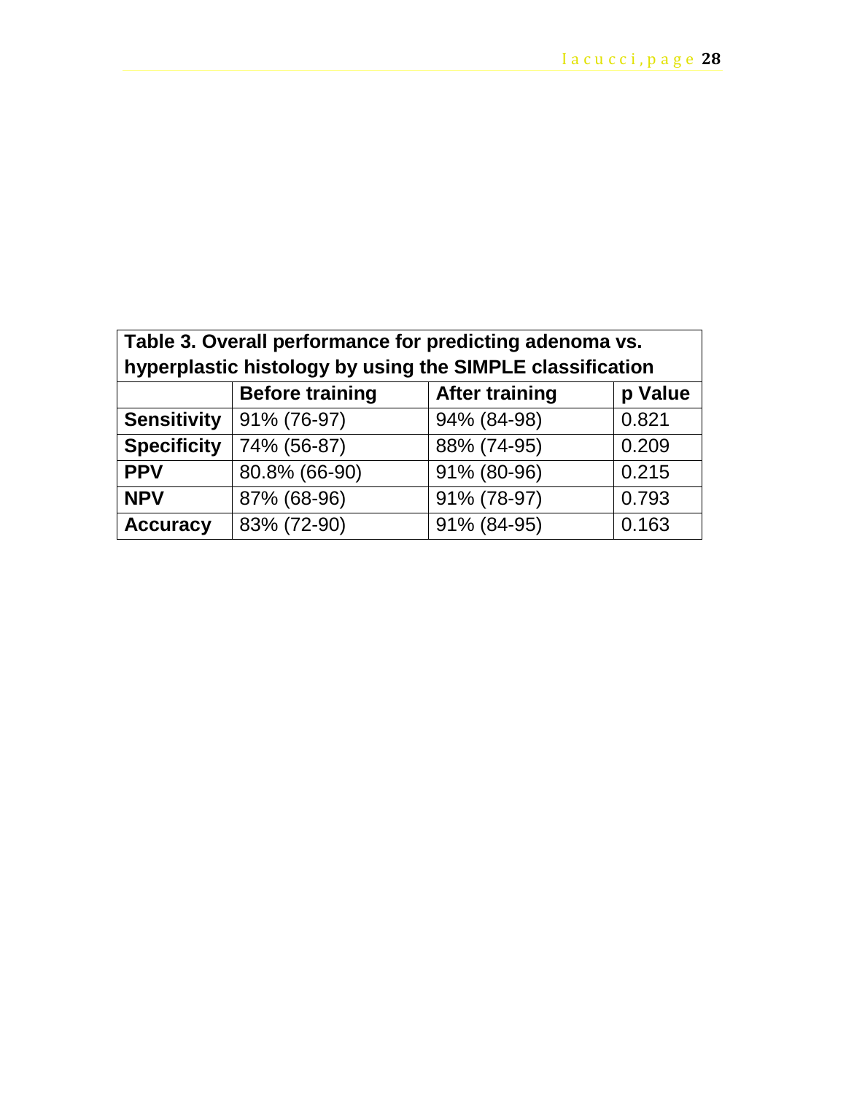| Table 3. Overall performance for predicting adenoma vs.<br>hyperplastic histology by using the SIMPLE classification |                        |                       |         |
|----------------------------------------------------------------------------------------------------------------------|------------------------|-----------------------|---------|
|                                                                                                                      | <b>Before training</b> | <b>After training</b> | p Value |
| <b>Sensitivity</b>                                                                                                   | 91% (76-97)            | 94% (84-98)           | 0.821   |
| <b>Specificity</b>                                                                                                   | 74% (56-87)            | 88% (74-95)           | 0.209   |
| <b>PPV</b>                                                                                                           | 80.8% (66-90)          | 91% (80-96)           | 0.215   |
| <b>NPV</b>                                                                                                           | 87% (68-96)            | 91% (78-97)           | 0.793   |
| <b>Accuracy</b>                                                                                                      | 83% (72-90)            | 91% (84-95)           | 0.163   |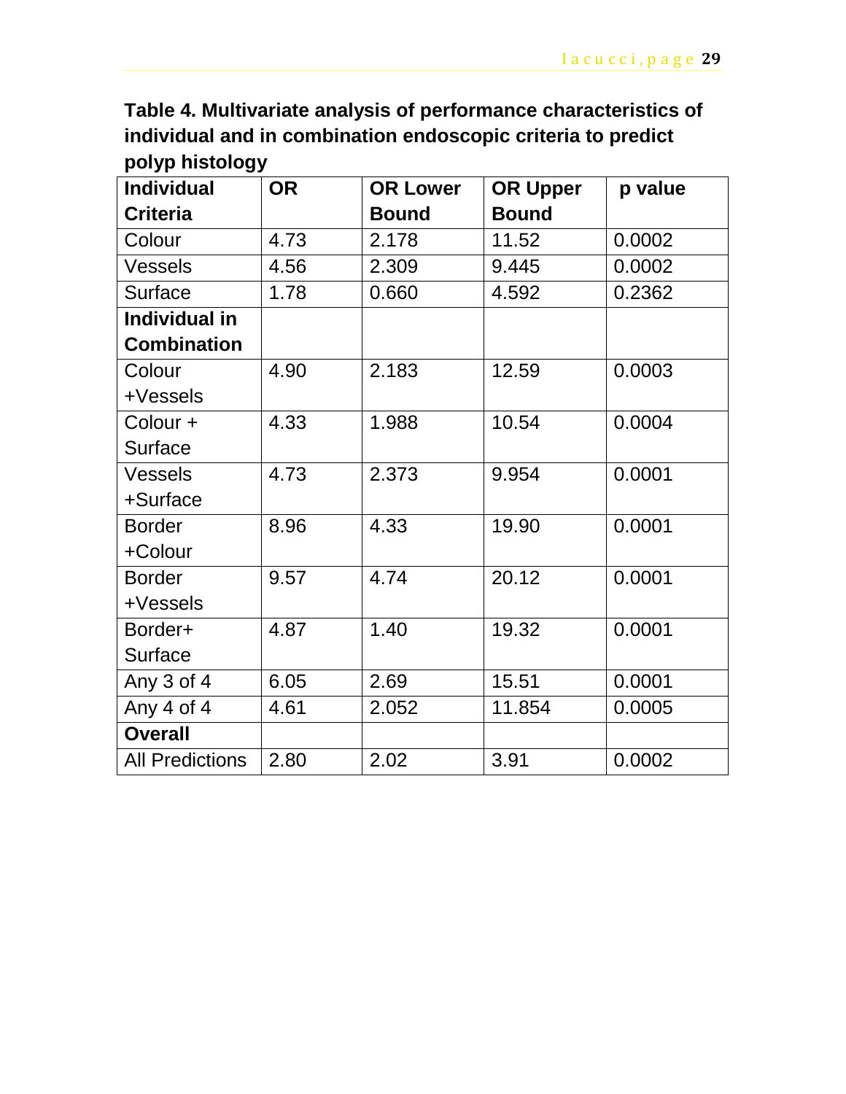**Table 4. Multivariate analysis of performance characteristics of individual and in combination endoscopic criteria to predict polyp histology** 

| <b>Individual</b>      | <b>OR</b> | <b>OR Lower</b> | <b>OR Upper</b> | p value |
|------------------------|-----------|-----------------|-----------------|---------|
| <b>Criteria</b>        |           | <b>Bound</b>    | <b>Bound</b>    |         |
| Colour                 | 4.73      | 2.178           | 11.52           | 0.0002  |
| <b>Vessels</b>         | 4.56      | 2.309           | 9.445           | 0.0002  |
| <b>Surface</b>         | 1.78      | 0.660           | 4.592           | 0.2362  |
| Individual in          |           |                 |                 |         |
| <b>Combination</b>     |           |                 |                 |         |
| Colour                 | 4.90      | 2.183           | 12.59           | 0.0003  |
| +Vessels               |           |                 |                 |         |
| Colour +               | 4.33      | 1.988           | 10.54           | 0.0004  |
| <b>Surface</b>         |           |                 |                 |         |
| <b>Vessels</b>         | 4.73      | 2.373           | 9.954           | 0.0001  |
| +Surface               |           |                 |                 |         |
| <b>Border</b>          | 8.96      | 4.33            | 19.90           | 0.0001  |
| +Colour                |           |                 |                 |         |
| <b>Border</b>          | 9.57      | 4.74            | 20.12           | 0.0001  |
| +Vessels               |           |                 |                 |         |
| Border+                | 4.87      | 1.40            | 19.32           | 0.0001  |
| Surface                |           |                 |                 |         |
| Any $3$ of $4$         | 6.05      | 2.69            | 15.51           | 0.0001  |
| Any 4 of 4             | 4.61      | 2.052           | 11.854          | 0.0005  |
| <b>Overall</b>         |           |                 |                 |         |
| <b>All Predictions</b> | 2.80      | 2.02            | 3.91            | 0.0002  |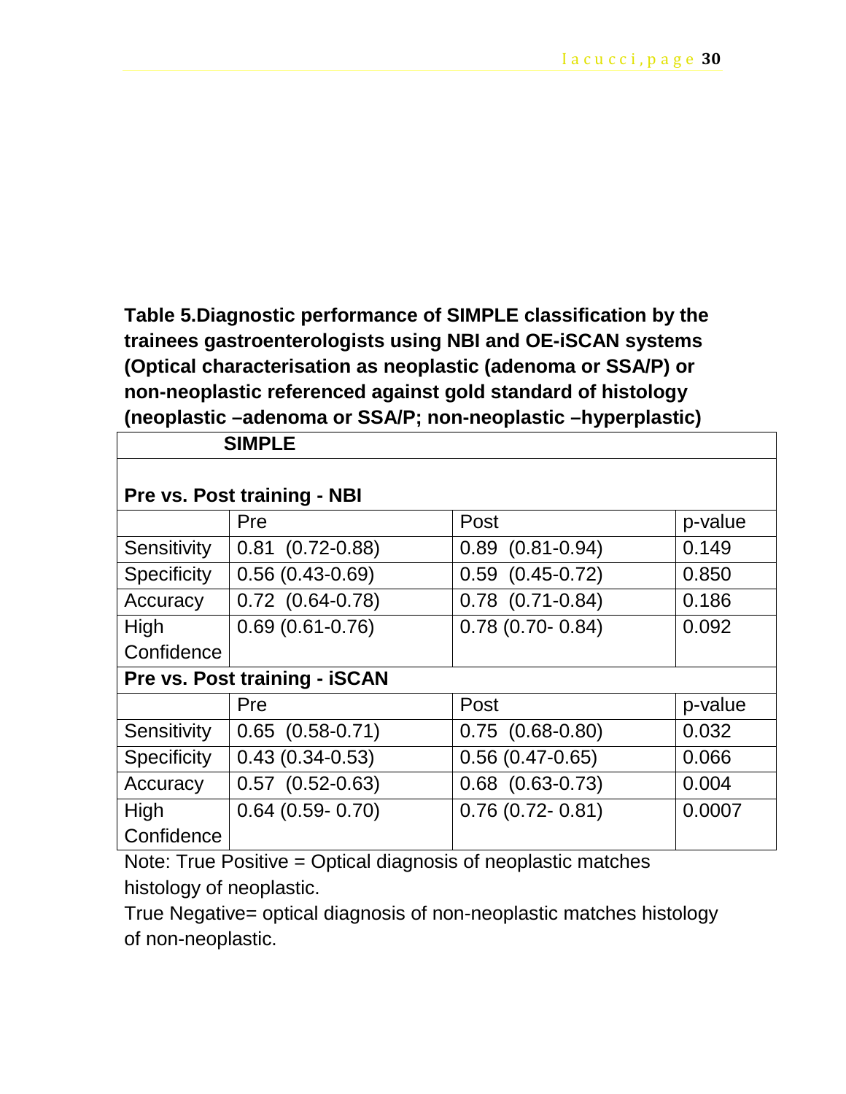**Table 5.Diagnostic performance of SIMPLE classification by the trainees gastroenterologists using NBI and OE-iSCAN systems (Optical characterisation as neoplastic (adenoma or SSA/P) or non-neoplastic referenced against gold standard of histology (neoplastic –adenoma or SSA/P; non-neoplastic –hyperplastic)**

| <b>SIMPLE</b>               |                               |                        |         |
|-----------------------------|-------------------------------|------------------------|---------|
| Pre vs. Post training - NBI |                               |                        |         |
|                             | Pre                           | Post                   | p-value |
| Sensitivity                 | $0.81$ $(0.72 - 0.88)$        | $0.89$ $(0.81 - 0.94)$ | 0.149   |
| Specificity                 | $0.56(0.43-0.69)$             | $0.59$ $(0.45 - 0.72)$ | 0.850   |
| Accuracy                    | $0.72$ $(0.64 - 0.78)$        | $0.78$ $(0.71-0.84)$   | 0.186   |
| <b>High</b>                 | $0.69(0.61 - 0.76)$           | $0.78(0.70-0.84)$      | 0.092   |
| Confidence                  |                               |                        |         |
|                             | Pre vs. Post training - iSCAN |                        |         |
|                             | Pre                           | Post                   | p-value |
| Sensitivity                 | $0.65$ $(0.58 - 0.71)$        | $0.75$ $(0.68-0.80)$   | 0.032   |
| <b>Specificity</b>          | $0.43(0.34 - 0.53)$           | $0.56(0.47-0.65)$      | 0.066   |
| Accuracy                    | $0.57$ $(0.52-0.63)$          | $0.68$ $(0.63 - 0.73)$ | 0.004   |
| High                        | $0.64$ (0.59- 0.70)           | $0.76(0.72 - 0.81)$    | 0.0007  |
| Confidence                  |                               |                        |         |

Note: True Positive = Optical diagnosis of neoplastic matches histology of neoplastic.

True Negative= optical diagnosis of non-neoplastic matches histology of non-neoplastic.